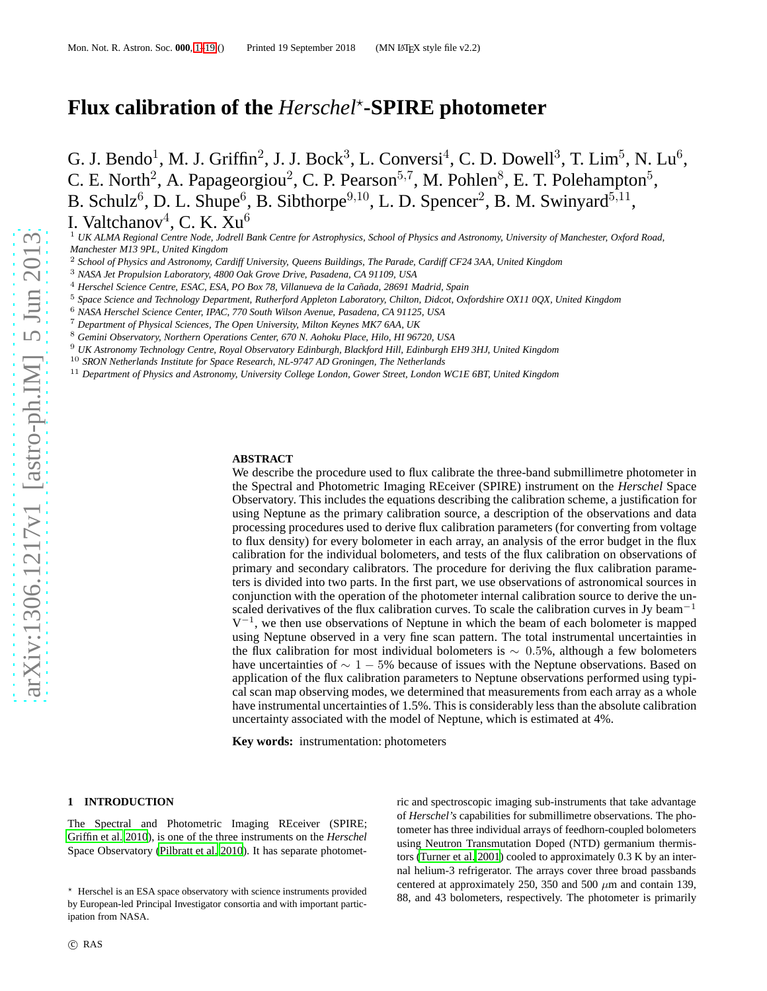# Flux calibration of the *Herschel***<sup>\*</sup>-SPIRE** photometer

G. J. Bendo<sup>1</sup>, M. J. Griffin<sup>2</sup>, J. J. Bock<sup>3</sup>, L. Conversi<sup>4</sup>, C. D. Dowell<sup>3</sup>, T. Lim<sup>5</sup>, N. Lu<sup>6</sup>, C. E. North<sup>2</sup>, A. Papageorgiou<sup>2</sup>, C. P. Pearson<sup>5,7</sup>, M. Pohlen<sup>8</sup>, E. T. Polehampton<sup>5</sup>, B. Schulz<sup>6</sup>, D. L. Shupe<sup>6</sup>, B. Sibthorpe<sup>9,10</sup>, L. D. Spencer<sup>2</sup>, B. M. Swinyard<sup>5,11</sup>, I. Valtchanov<sup>4</sup>, C. K.  $Xu^6$ 

<sup>1</sup> *UK ALMA Regional Centre Node, Jodrell Bank Centre for Astrophysics, School of Physics and Astronomy, University of Manchester, Oxford Road, Manchester M13 9PL, United Kingdom*

- <sup>3</sup> *NASA Jet Propulsion Laboratory, 4800 Oak Grove Drive, Pasadena, CA 91109, USA*
- <sup>4</sup> *Herschel Science Centre, ESAC, ESA, PO Box 78, Villanueva de la Ca˜nada, 28691 Madrid, Spain*
- <sup>5</sup> *Space Science and Technology Department, Rutherford Appleton Laboratory, Chilton, Didcot, Oxfordshire OX11 0QX, United Kingdom*
- <sup>6</sup> *NASA Herschel Science Center, IPAC, 770 South Wilson Avenue, Pasadena, CA 91125, USA*
- <sup>7</sup> *Department of Physical Sciences, The Open University, Milton Keynes MK7 6AA, UK*
- <sup>8</sup> *Gemini Observatory, Northern Operations Center, 670 N. Aohoku Place, Hilo, HI 96720, USA*
- <sup>9</sup> *UK Astronomy Technology Centre, Royal Observatory Edinburgh, Blackford Hill, Edinburgh EH9 3HJ, United Kingdom*
- <sup>10</sup> *SRON Netherlands Institute for Space Research, NL-9747 AD Groningen, The Netherlands*
- <sup>11</sup> *Department of Physics and Astronomy, University College London, Gower Street, London WC1E 6BT, United Kingdom*

#### **ABSTRACT**

We describe the procedure used to flux calibrate the three-band submillimetre photometer in the Spectral and Photometric Imaging REceiver (SPIRE) instrument on the *Herschel* Space Observatory. This includes the equations describing the calibration scheme, a justification for using Neptune as the primary calibration source, a description of the observations and data processing procedures used to derive flux calibration parameters (for converting from voltage to flux density) for every bolometer in each array, an analysis of the error budget in the flux calibration for the individual bolometers, and tests of the flux calibration on observations of primary and secondary calibrators. The procedure for deriving the flux calibration parameters is divided into two parts. In the first part, we use observations of astronomical sources in conjunction with the operation of the photometer internal calibration source to derive the unscaled derivatives of the flux calibration curves. To scale the calibration curves in Jy beam<sup>-1</sup>  $V^{-1}$ , we then use observations of Neptune in which the beam of each bolometer is mapped using Neptune observed in a very fine scan pattern. The total instrumental uncertainties in the flux calibration for most individual bolometers is  $\sim 0.5\%$ , although a few bolometers have uncertainties of  $\sim 1 - 5%$  because of issues with the Neptune observations. Based on application of the flux calibration parameters to Neptune observations performed using typical scan map observing modes, we determined that measurements from each array as a whole have instrumental uncertainties of 1.5%. This is considerably less than the absolute calibration uncertainty associated with the model of Neptune, which is estimated at 4%.

**Key words:** instrumentation: photometers

#### <span id="page-0-0"></span>**1 INTRODUCTION**

The Spectral and Photometric Imaging REceiver (SPIRE; [Griffin et al. 2010](#page-18-0)), is one of the three instruments on the *Herschel* Space Observatory [\(Pilbratt et al. 2010](#page-18-1)). It has separate photometric and spectroscopic imaging sub-instruments that take advantage of *Herschel's* capabilities for submillimetre observations. The photometer has three individual arrays of feedhorn-coupled bolometers using Neutron Transmutation Doped (NTD) germanium thermistors [\(Turner et al. 2001](#page-18-2)) cooled to approximately 0.3 K by an internal helium-3 refrigerator. The arrays cover three broad passbands centered at approximately 250, 350 and 500  $\mu$ m and contain 139, 88, and 43 bolometers, respectively. The photometer is primarily

<sup>2</sup> *School of Physics and Astronomy, Cardiff University, Queens Buildings, The Parade, Cardiff CF24 3AA, United Kingdom*

<sup>⋆</sup> Herschel is an ESA space observatory with science instruments provided by European-led Principal Investigator consortia and with important participation from NASA.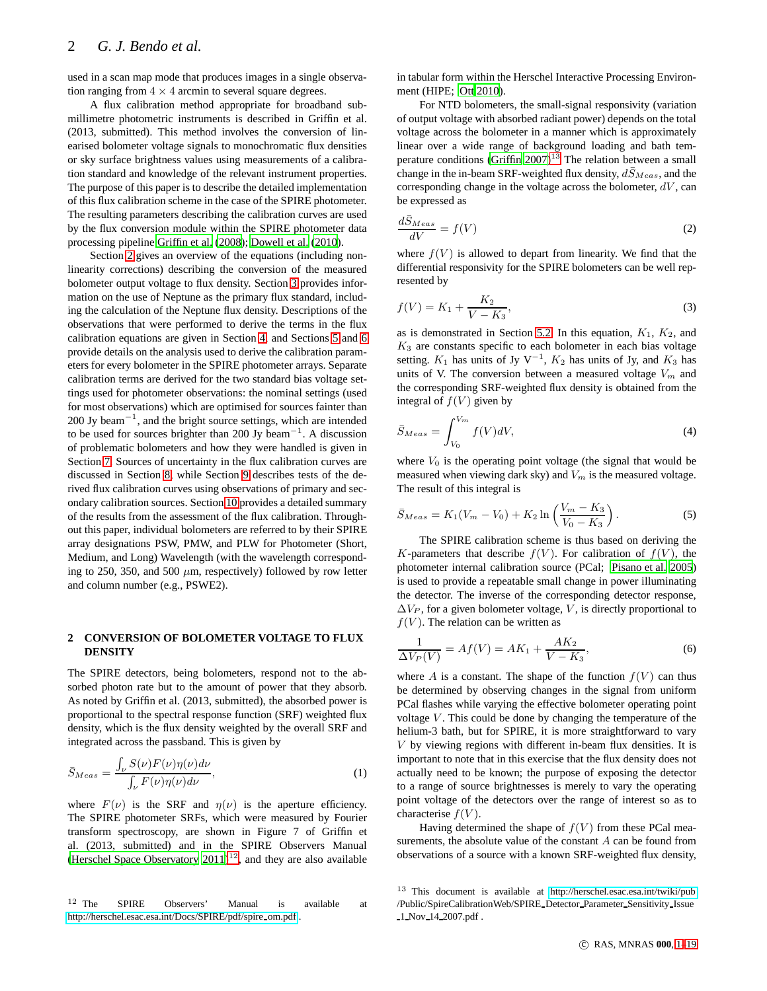used in a scan map mode that produces images in a single observation ranging from  $4 \times 4$  arcmin to several square degrees.

A flux calibration method appropriate for broadband submillimetre photometric instruments is described in Griffin et al. (2013, submitted). This method involves the conversion of linearised bolometer voltage signals to monochromatic flux densities or sky surface brightness values using measurements of a calibration standard and knowledge of the relevant instrument properties. The purpose of this paper is to describe the detailed implementation of this flux calibration scheme in the case of the SPIRE photometer. The resulting parameters describing the calibration curves are used by the flux conversion module within the SPIRE photometer data processing pipeline [Griffin et al. \(2008\)](#page-17-0); [Dowell et al.](#page-17-1) [\(2010](#page-17-1)).

Section [2](#page-1-0) gives an overview of the equations (including nonlinearity corrections) describing the conversion of the measured bolometer output voltage to flux density. Section [3](#page-2-0) provides information on the use of Neptune as the primary flux standard, including the calculation of the Neptune flux density. Descriptions of the observations that were performed to derive the terms in the flux calibration equations are given in Section [4,](#page-3-0) and Sections [5](#page-4-0) and [6](#page-8-0) provide details on the analysis used to derive the calibration parameters for every bolometer in the SPIRE photometer arrays. Separate calibration terms are derived for the two standard bias voltage settings used for photometer observations: the nominal settings (used for most observations) which are optimised for sources fainter than 200 Jy beam<sup>−</sup><sup>1</sup> , and the bright source settings, which are intended to be used for sources brighter than 200 Jy beam<sup>−</sup><sup>1</sup> . A discussion of problematic bolometers and how they were handled is given in Section [7.](#page-10-0) Sources of uncertainty in the flux calibration curves are discussed in Section [8,](#page-11-0) while Section [9](#page-13-0) describes tests of the derived flux calibration curves using observations of primary and secondary calibration sources. Section [10](#page-17-2) provides a detailed summary of the results from the assessment of the flux calibration. Throughout this paper, individual bolometers are referred to by their SPIRE array designations PSW, PMW, and PLW for Photometer (Short, Medium, and Long) Wavelength (with the wavelength corresponding to 250, 350, and 500  $\mu$ m, respectively) followed by row letter and column number (e.g., PSWE2).

# <span id="page-1-0"></span>**2 CONVERSION OF BOLOMETER VOLTAGE TO FLUX DENSITY**

The SPIRE detectors, being bolometers, respond not to the absorbed photon rate but to the amount of power that they absorb. As noted by Griffin et al. (2013, submitted), the absorbed power is proportional to the spectral response function (SRF) weighted flux density, which is the flux density weighted by the overall SRF and integrated across the passband. This is given by

<span id="page-1-3"></span>
$$
\bar{S}_{Meas} = \frac{\int_{\nu} S(\nu) F(\nu) \eta(\nu) d\nu}{\int_{\nu} F(\nu) \eta(\nu) d\nu},\tag{1}
$$

where  $F(\nu)$  is the SRF and  $\eta(\nu)$  is the aperture efficiency. The SPIRE photometer SRFs, which were measured by Fourier transform spectroscopy, are shown in Figure 7 of Griffin et al. (2013, submitted) and in the SPIRE Observers Manual (Herschel Space Observatory  $2011$ )<sup>[12](#page-1-1)</sup>, and they are also available

<span id="page-1-1"></span><sup>12</sup> The SPIRE Observers' Manual is available at [http://herschel.esac.esa.int/Docs/SPIRE/pdf/spire](http://herschel.esac.esa.int/Docs/SPIRE/pdf/spire_om.pdf)\_om.pdf.

in tabular form within the Herschel Interactive Processing Environment (HIPE; [Ott 2010\)](#page-18-4).

For NTD bolometers, the small-signal responsivity (variation of output voltage with absorbed radiant power) depends on the total voltage across the bolometer in a manner which is approximately linear over a wide range of background loading and bath temperature conditions (Griffin  $2007$ )<sup>[13](#page-1-2)</sup> The relation between a small change in the in-beam SRF-weighted flux density,  $d\bar{S}_{Meas}$ , and the corresponding change in the voltage across the bolometer,  $dV$ , can be expressed as

$$
\frac{d\bar{S}_{Meas}}{dV} = f(V) \tag{2}
$$

where  $f(V)$  is allowed to depart from linearity. We find that the differential responsivity for the SPIRE bolometers can be well represented by

<span id="page-1-4"></span>
$$
f(V) = K_1 + \frac{K_2}{V - K_3},\tag{3}
$$

as is demonstrated in Section [5.2.](#page-4-1) In this equation,  $K_1$ ,  $K_2$ , and  $K<sub>3</sub>$  are constants specific to each bolometer in each bias voltage setting.  $K_1$  has units of Jy V<sup>-1</sup>,  $K_2$  has units of Jy, and  $K_3$  has units of V. The conversion between a measured voltage  $V_m$  and the corresponding SRF-weighted flux density is obtained from the integral of  $f(V)$  given by

$$
\bar{S}_{Meas} = \int_{V_0}^{V_m} f(V)dV,\tag{4}
$$

where  $V_0$  is the operating point voltage (the signal that would be measured when viewing dark sky) and  $V_m$  is the measured voltage. The result of this integral is

<span id="page-1-5"></span>
$$
\bar{S}_{Meas} = K_1 (V_m - V_0) + K_2 \ln \left( \frac{V_m - K_3}{V_0 - K_3} \right). \tag{5}
$$

The SPIRE calibration scheme is thus based on deriving the K-parameters that describe  $f(V)$ . For calibration of  $f(V)$ , the photometer internal calibration source (PCal; [Pisano et al. 2005](#page-18-5)) is used to provide a repeatable small change in power illuminating the detector. The inverse of the corresponding detector response,  $\Delta V_P$ , for a given bolometer voltage, V, is directly proportional to  $f(V)$ . The relation can be written as

$$
\frac{1}{\Delta V_P(V)} = Af(V) = AK_1 + \frac{AK_2}{V - K_3},\tag{6}
$$

where A is a constant. The shape of the function  $f(V)$  can thus be determined by observing changes in the signal from uniform PCal flashes while varying the effective bolometer operating point voltage  $V$ . This could be done by changing the temperature of the helium-3 bath, but for SPIRE, it is more straightforward to vary V by viewing regions with different in-beam flux densities. It is important to note that in this exercise that the flux density does not actually need to be known; the purpose of exposing the detector to a range of source brightnesses is merely to vary the operating point voltage of the detectors over the range of interest so as to characterise  $f(V)$ .

Having determined the shape of  $f(V)$  from these PCal measurements, the absolute value of the constant  $A$  can be found from observations of a source with a known SRF-weighted flux density,

<span id="page-1-2"></span><sup>13</sup> This document is available at<http://herschel.esac.esa.int/twiki/pub> /Public/SpireCalibrationWeb/SPIRE Detector Parameter Sensitivity Issue 1 Nov 14 2007.pdf .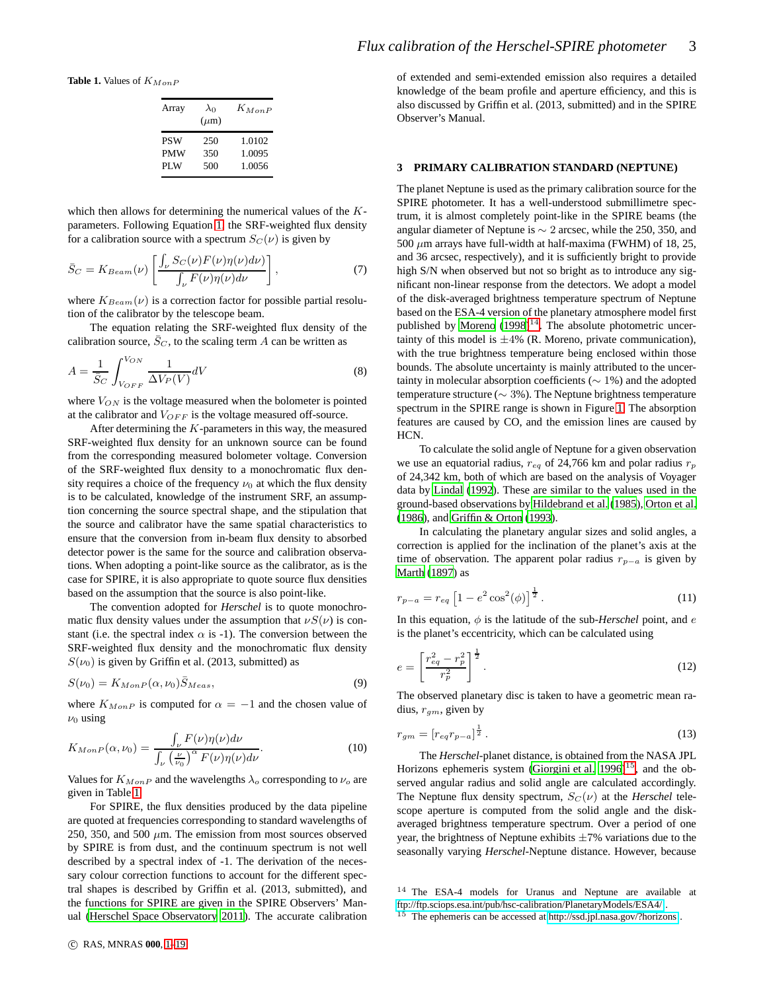<span id="page-2-1"></span>**Table 1.** Values of  $K_{MonP}$ 

| Array      | $\lambda_0$<br>$(\mu m)$ | $K_{Mon}P$ |
|------------|--------------------------|------------|
| <b>PSW</b> | 250                      | 1.0102     |
| <b>PMW</b> | 350                      | 1.0095     |
| PLW        | 500                      | 1.0056     |

which then allows for determining the numerical values of the Kparameters. Following Equation [1,](#page-1-3) the SRF-weighted flux density for a calibration source with a spectrum  $S_C(\nu)$  is given by

$$
\bar{S}_C = K_{Beam}(\nu) \left[ \frac{\int_{\nu} S_C(\nu) F(\nu) \eta(\nu) d\nu}{\int_{\nu} F(\nu) \eta(\nu) d\nu} \right],
$$
\n(7)

where  $K_{Beam}(\nu)$  is a correction factor for possible partial resolution of the calibrator by the telescope beam.

The equation relating the SRF-weighted flux density of the calibration source,  $\bar{S}_C$ , to the scaling term A can be written as

$$
A = \frac{1}{\bar{S}_C} \int_{V_{OFF}}^{V_{ON}} \frac{1}{\Delta V_P(V)} dV \tag{8}
$$

where  $V_{ON}$  is the voltage measured when the bolometer is pointed at the calibrator and  $V_{OFF}$  is the voltage measured off-source.

After determining the  $K$ -parameters in this way, the measured SRF-weighted flux density for an unknown source can be found from the corresponding measured bolometer voltage. Conversion of the SRF-weighted flux density to a monochromatic flux density requires a choice of the frequency  $\nu_0$  at which the flux density is to be calculated, knowledge of the instrument SRF, an assumption concerning the source spectral shape, and the stipulation that the source and calibrator have the same spatial characteristics to ensure that the conversion from in-beam flux density to absorbed detector power is the same for the source and calibration observations. When adopting a point-like source as the calibrator, as is the case for SPIRE, it is also appropriate to quote source flux densities based on the assumption that the source is also point-like.

The convention adopted for *Herschel* is to quote monochromatic flux density values under the assumption that  $\nu S(\nu)$  is constant (i.e. the spectral index  $\alpha$  is -1). The conversion between the SRF-weighted flux density and the monochromatic flux density  $S(\nu_0)$  is given by Griffin et al. (2013, submitted) as

$$
S(\nu_0) = K_{MonP}(\alpha, \nu_0) \bar{S}_{Meas},
$$
\n(9)

where  $K_{MonP}$  is computed for  $\alpha = -1$  and the chosen value of  $\nu_0$  using

$$
K_{MonP}(\alpha, \nu_0) = \frac{\int_{\nu} F(\nu) \eta(\nu) d\nu}{\int_{\nu} \left(\frac{\nu}{\nu_0}\right)^{\alpha} F(\nu) \eta(\nu) d\nu}.
$$
\n(10)

Values for  $K_{MonP}$  and the wavelengths  $\lambda_o$  corresponding to  $\nu_o$  are given in Table [1.](#page-2-1)

For SPIRE, the flux densities produced by the data pipeline are quoted at frequencies corresponding to standard wavelengths of 250, 350, and 500  $\mu$ m. The emission from most sources observed by SPIRE is from dust, and the continuum spectrum is not well described by a spectral index of -1. The derivation of the necessary colour correction functions to account for the different spectral shapes is described by Griffin et al. (2013, submitted), and the functions for SPIRE are given in the SPIRE Observers' Manual [\(Herschel Space Observatory 2011\)](#page-18-3). The accurate calibration

of extended and semi-extended emission also requires a detailed knowledge of the beam profile and aperture efficiency, and this is also discussed by Griffin et al. (2013, submitted) and in the SPIRE Observer's Manual.

## <span id="page-2-0"></span>**3 PRIMARY CALIBRATION STANDARD (NEPTUNE)**

The planet Neptune is used as the primary calibration source for the SPIRE photometer. It has a well-understood submillimetre spectrum, it is almost completely point-like in the SPIRE beams (the angular diameter of Neptune is ∼ 2 arcsec, while the 250, 350, and 500  $\mu$ m arrays have full-width at half-maxima (FWHM) of 18, 25, and 36 arcsec, respectively), and it is sufficiently bright to provide high S/N when observed but not so bright as to introduce any significant non-linear response from the detectors. We adopt a model of the disk-averaged brightness temperature spectrum of Neptune based on the ESA-4 version of the planetary atmosphere model first published by Moreno  $(1998)^{14}$  $(1998)^{14}$  $(1998)^{14}$ . The absolute photometric uncertainty of this model is  $\pm 4\%$  (R. Moreno, private communication), with the true brightness temperature being enclosed within those bounds. The absolute uncertainty is mainly attributed to the uncertainty in molecular absorption coefficients (∼ 1%) and the adopted temperature structure ( $\sim$  3%). The Neptune brightness temperature spectrum in the SPIRE range is shown in Figure [1.](#page-3-1) The absorption features are caused by CO, and the emission lines are caused by HCN.

To calculate the solid angle of Neptune for a given observation we use an equatorial radius,  $r_{eq}$  of 24,766 km and polar radius  $r_p$ of 24,342 km, both of which are based on the analysis of Voyager data by [Lindal](#page-18-7) [\(1992](#page-18-7)). These are similar to the values used in the ground-based observations by [Hildebrand et al. \(1985](#page-18-8)), [Orton et al.](#page-18-9) [\(1986\)](#page-18-9), and [Griffin & Orton \(1993](#page-18-10)).

In calculating the planetary angular sizes and solid angles, a correction is applied for the inclination of the planet's axis at the time of observation. The apparent polar radius  $r_{p-a}$  is given by [Marth \(1897](#page-18-11)) as

$$
r_{p-a} = r_{eq} \left[ 1 - e^2 \cos^2(\phi) \right]^{\frac{1}{2}}.
$$
 (11)

In this equation,  $\phi$  is the latitude of the sub-*Herschel* point, and e is the planet's eccentricity, which can be calculated using

$$
e = \left[\frac{r_{eq}^2 - r_p^2}{r_p^2}\right]^{\frac{1}{2}}.\tag{12}
$$

The observed planetary disc is taken to have a geometric mean radius,  $r_{qm}$ , given by

$$
r_{gm} = \left[ r_{eq} r_{p-a} \right]^{\frac{1}{2}}.
$$
\n
$$
(13)
$$

The *Herschel*-planet distance, is obtained from the NASA JPL Horizons ephemeris system (Giorgini et al.  $1996)^{15}$  $1996)^{15}$  $1996)^{15}$ , and the observed angular radius and solid angle are calculated accordingly. The Neptune flux density spectrum,  $S_C(\nu)$  at the *Herschel* telescope aperture is computed from the solid angle and the diskaveraged brightness temperature spectrum. Over a period of one year, the brightness of Neptune exhibits  $\pm 7\%$  variations due to the seasonally varying *Herschel*-Neptune distance. However, because

<sup>14</sup> The ESA-4 models for Uranus and Neptune are available at <ftp://ftp.sciops.esa.int/pub/hsc-calibration/PlanetaryModels/ESA4/> .

<span id="page-2-3"></span><span id="page-2-2"></span> $15$  The ephemeris can be accessed at<http://ssd.jpl.nasa.gov/?horizons>.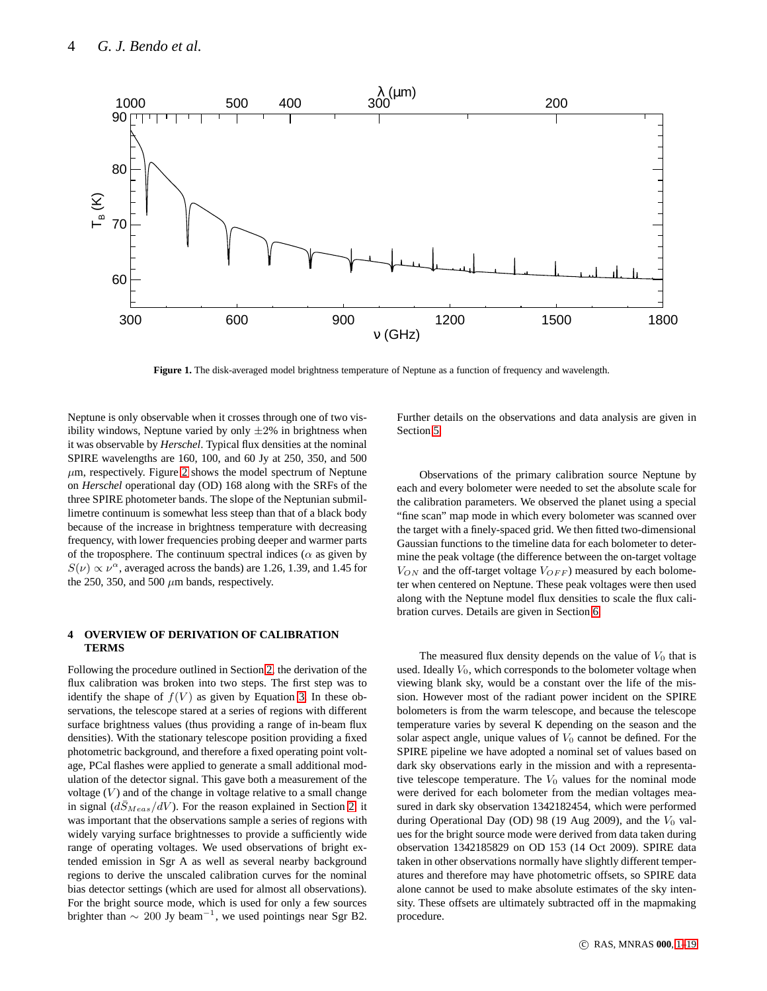

<span id="page-3-1"></span>**Figure 1.** The disk-averaged model brightness temperature of Neptune as a function of frequency and wavelength.

Neptune is only observable when it crosses through one of two visibility windows, Neptune varied by only  $\pm 2\%$  in brightness when it was observable by *Herschel*. Typical flux densities at the nominal SPIRE wavelengths are 160, 100, and 60 Jy at 250, 350, and 500  $\mu$ m, respectively. Figure [2](#page-4-2) shows the model spectrum of Neptune on *Herschel* operational day (OD) 168 along with the SRFs of the three SPIRE photometer bands. The slope of the Neptunian submillimetre continuum is somewhat less steep than that of a black body because of the increase in brightness temperature with decreasing frequency, with lower frequencies probing deeper and warmer parts of the troposphere. The continuum spectral indices ( $\alpha$  as given by  $S(\nu) \propto \nu^{\alpha}$ , averaged across the bands) are 1.26, 1.39, and 1.45 for the 250, 350, and 500  $\mu$ m bands, respectively.

# <span id="page-3-0"></span>**4 OVERVIEW OF DERIVATION OF CALIBRATION TERMS**

Following the procedure outlined in Section [2,](#page-1-0) the derivation of the flux calibration was broken into two steps. The first step was to identify the shape of  $f(V)$  as given by Equation [3.](#page-1-4) In these observations, the telescope stared at a series of regions with different surface brightness values (thus providing a range of in-beam flux densities). With the stationary telescope position providing a fixed photometric background, and therefore a fixed operating point voltage, PCal flashes were applied to generate a small additional modulation of the detector signal. This gave both a measurement of the voltage  $(V)$  and of the change in voltage relative to a small change in signal  $\left(\frac{dS_{Meas}}{dV}\right)$ . For the reason explained in Section [2,](#page-1-0) it was important that the observations sample a series of regions with widely varying surface brightnesses to provide a sufficiently wide range of operating voltages. We used observations of bright extended emission in Sgr A as well as several nearby background regions to derive the unscaled calibration curves for the nominal bias detector settings (which are used for almost all observations). For the bright source mode, which is used for only a few sources brighter than  $\sim 200$  Jy beam<sup>-1</sup>, we used pointings near Sgr B2.

Further details on the observations and data analysis are given in Section [5.](#page-4-0)

Observations of the primary calibration source Neptune by each and every bolometer were needed to set the absolute scale for the calibration parameters. We observed the planet using a special "fine scan" map mode in which every bolometer was scanned over the target with a finely-spaced grid. We then fitted two-dimensional Gaussian functions to the timeline data for each bolometer to determine the peak voltage (the difference between the on-target voltage  $V_{ON}$  and the off-target voltage  $V_{OFF}$ ) measured by each bolometer when centered on Neptune. These peak voltages were then used along with the Neptune model flux densities to scale the flux calibration curves. Details are given in Section [6.](#page-8-0)

The measured flux density depends on the value of  $V_0$  that is used. Ideally  $V_0$ , which corresponds to the bolometer voltage when viewing blank sky, would be a constant over the life of the mission. However most of the radiant power incident on the SPIRE bolometers is from the warm telescope, and because the telescope temperature varies by several K depending on the season and the solar aspect angle, unique values of  $V_0$  cannot be defined. For the SPIRE pipeline we have adopted a nominal set of values based on dark sky observations early in the mission and with a representative telescope temperature. The  $V_0$  values for the nominal mode were derived for each bolometer from the median voltages measured in dark sky observation 1342182454, which were performed during Operational Day (OD) 98 (19 Aug 2009), and the  $V_0$  values for the bright source mode were derived from data taken during observation 1342185829 on OD 153 (14 Oct 2009). SPIRE data taken in other observations normally have slightly different temperatures and therefore may have photometric offsets, so SPIRE data alone cannot be used to make absolute estimates of the sky intensity. These offsets are ultimately subtracted off in the mapmaking procedure.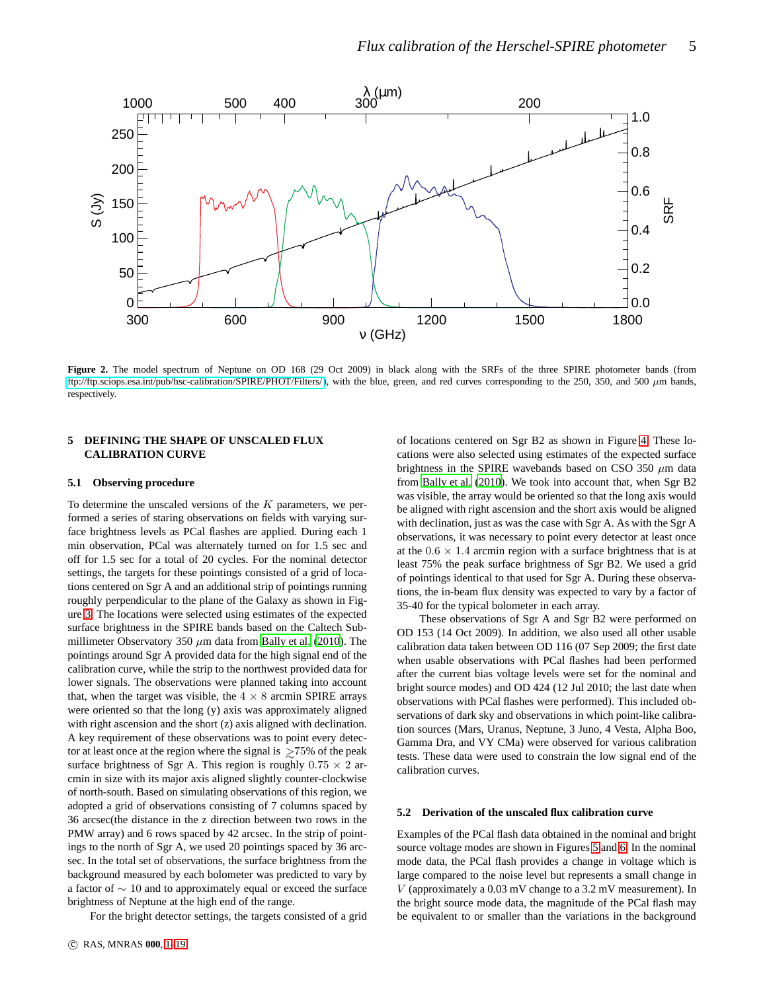

<span id="page-4-2"></span>**Figure 2.** The model spectrum of Neptune on OD 168 (29 Oct 2009) in black along with the SRFs of the three SPIRE photometer bands (from [ftp://ftp.sciops.esa.int/pub/hsc-calibration/SPIRE/PHOT/Filters/\)](ftp://ftp.sciops.esa.int/pub/hsc-calibration/SPIRE/PHOT/Filters/), with the blue, green, and red curves corresponding to the 250, 350, and 500  $\mu$ m bands, respectively.

## <span id="page-4-0"></span>**5 DEFINING THE SHAPE OF UNSCALED FLUX CALIBRATION CURVE**

#### **5.1 Observing procedure**

To determine the unscaled versions of the  $K$  parameters, we performed a series of staring observations on fields with varying surface brightness levels as PCal flashes are applied. During each 1 min observation, PCal was alternately turned on for 1.5 sec and off for 1.5 sec for a total of 20 cycles. For the nominal detector settings, the targets for these pointings consisted of a grid of locations centered on Sgr A and an additional strip of pointings running roughly perpendicular to the plane of the Galaxy as shown in Figure [3.](#page-5-0) The locations were selected using estimates of the expected surface brightness in the SPIRE bands based on the Caltech Submillimeter Observatory 350  $\mu$ m data from [Bally et al.](#page-17-5) [\(2010](#page-17-5)). The pointings around Sgr A provided data for the high signal end of the calibration curve, while the strip to the northwest provided data for lower signals. The observations were planned taking into account that, when the target was visible, the  $4 \times 8$  arcmin SPIRE arrays were oriented so that the long (y) axis was approximately aligned with right ascension and the short (z) axis aligned with declination. A key requirement of these observations was to point every detector at least once at the region where the signal is  $\geq 75\%$  of the peak surface brightness of Sgr A. This region is roughly  $0.75 \times 2$  arcmin in size with its major axis aligned slightly counter-clockwise of north-south. Based on simulating observations of this region, we adopted a grid of observations consisting of 7 columns spaced by 36 arcsec(the distance in the z direction between two rows in the PMW array) and 6 rows spaced by 42 arcsec. In the strip of pointings to the north of Sgr A, we used 20 pointings spaced by 36 arcsec. In the total set of observations, the surface brightness from the background measured by each bolometer was predicted to vary by a factor of ∼ 10 and to approximately equal or exceed the surface brightness of Neptune at the high end of the range.

For the bright detector settings, the targets consisted of a grid

of locations centered on Sgr B2 as shown in Figure [4.](#page-6-0) These locations were also selected using estimates of the expected surface brightness in the SPIRE wavebands based on CSO 350  $\mu$ m data from [Bally et al. \(2010](#page-17-5)). We took into account that, when Sgr B2 was visible, the array would be oriented so that the long axis would be aligned with right ascension and the short axis would be aligned with declination, just as was the case with Sgr A. As with the Sgr A observations, it was necessary to point every detector at least once at the  $0.6 \times 1.4$  arcmin region with a surface brightness that is at least 75% the peak surface brightness of Sgr B2. We used a grid of pointings identical to that used for Sgr A. During these observations, the in-beam flux density was expected to vary by a factor of 35-40 for the typical bolometer in each array.

These observations of Sgr A and Sgr B2 were performed on OD 153 (14 Oct 2009). In addition, we also used all other usable calibration data taken between OD 116 (07 Sep 2009; the first date when usable observations with PCal flashes had been performed after the current bias voltage levels were set for the nominal and bright source modes) and OD 424 (12 Jul 2010; the last date when observations with PCal flashes were performed). This included observations of dark sky and observations in which point-like calibration sources (Mars, Uranus, Neptune, 3 Juno, 4 Vesta, Alpha Boo, Gamma Dra, and VY CMa) were observed for various calibration tests. These data were used to constrain the low signal end of the calibration curves.

#### <span id="page-4-1"></span>**5.2 Derivation of the unscaled flux calibration curve**

Examples of the PCal flash data obtained in the nominal and bright source voltage modes are shown in Figures [5](#page-7-0) and [6.](#page-7-1) In the nominal mode data, the PCal flash provides a change in voltage which is large compared to the noise level but represents a small change in V (approximately a 0.03 mV change to a 3.2 mV measurement). In the bright source mode data, the magnitude of the PCal flash may be equivalent to or smaller than the variations in the background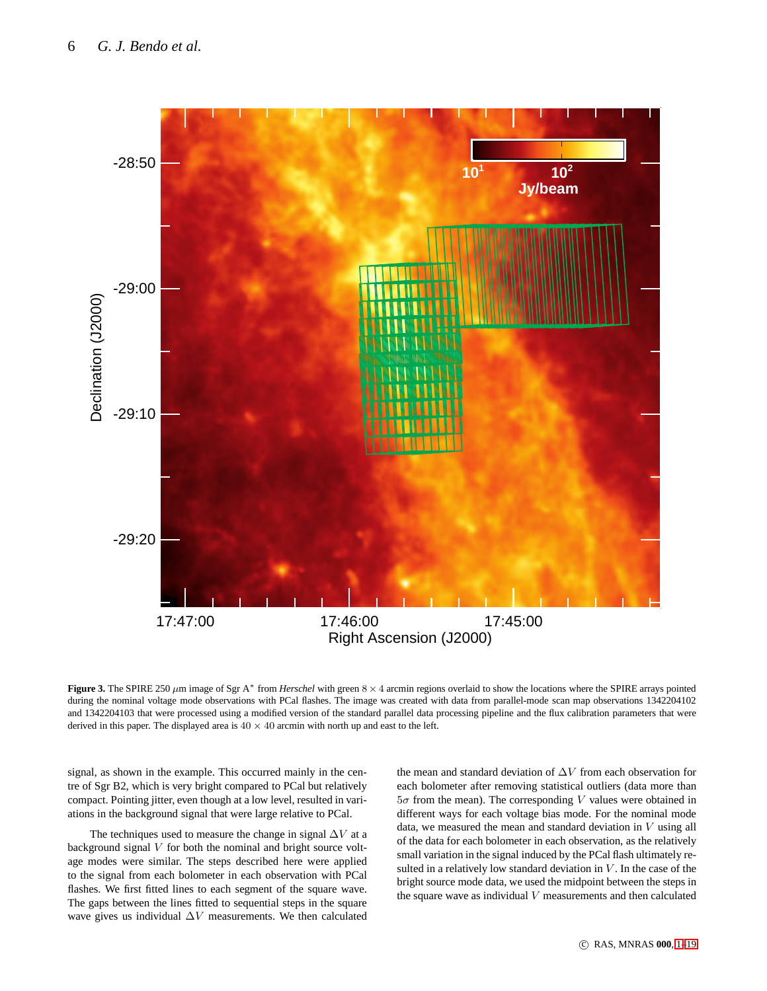

<span id="page-5-0"></span>Figure 3. The SPIRE 250 µm image of Sgr A<sup>∗</sup> from *Herschel* with green 8 × 4 arcmin regions overlaid to show the locations where the SPIRE arrays pointed during the nominal voltage mode observations with PCal flashes. The image was created with data from parallel-mode scan map observations 1342204102 and 1342204103 that were processed using a modified version of the standard parallel data processing pipeline and the flux calibration parameters that were derived in this paper. The displayed area is  $40 \times 40$  arcmin with north up and east to the left.

signal, as shown in the example. This occurred mainly in the centre of Sgr B2, which is very bright compared to PCal but relatively compact. Pointing jitter, even though at a low level, resulted in variations in the background signal that were large relative to PCal.

The techniques used to measure the change in signal  $\Delta V$  at a background signal  $V$  for both the nominal and bright source voltage modes were similar. The steps described here were applied to the signal from each bolometer in each observation with PCal flashes. We first fitted lines to each segment of the square wave. The gaps between the lines fitted to sequential steps in the square wave gives us individual ∆V measurements. We then calculated

the mean and standard deviation of ∆V from each observation for each bolometer after removing statistical outliers (data more than  $5\sigma$  from the mean). The corresponding V values were obtained in different ways for each voltage bias mode. For the nominal mode data, we measured the mean and standard deviation in  $V$  using all of the data for each bolometer in each observation, as the relatively small variation in the signal induced by the PCal flash ultimately resulted in a relatively low standard deviation in  $V$ . In the case of the bright source mode data, we used the midpoint between the steps in the square wave as individual  $V$  measurements and then calculated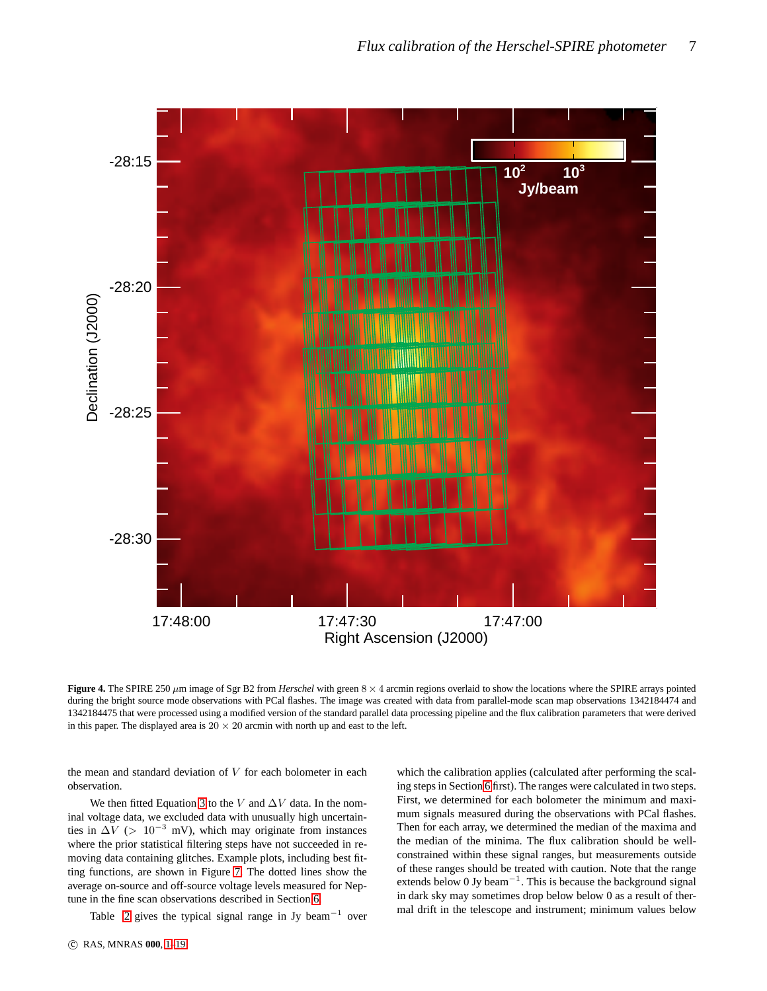

<span id="page-6-0"></span>**Figure 4.** The SPIRE 250  $\mu$ m image of Sgr B2 from *Herschel* with green  $8 \times 4$  arcmin regions overlaid to show the locations where the SPIRE arrays pointed during the bright source mode observations with PCal flashes. The image was created with data from parallel-mode scan map observations 1342184474 and 1342184475 that were processed using a modified version of the standard parallel data processing pipeline and the flux calibration parameters that were derived in this paper. The displayed area is  $20 \times 20$  arcmin with north up and east to the left.

the mean and standard deviation of  $V$  for each bolometer in each observation.

We then fitted Equation [3](#page-1-4) to the V and  $\Delta V$  data. In the nominal voltage data, we excluded data with unusually high uncertainties in  $\Delta V$  (> 10<sup>-3</sup> mV), which may originate from instances where the prior statistical filtering steps have not succeeded in removing data containing glitches. Example plots, including best fitting functions, are shown in Figure [7.](#page-8-1) The dotted lines show the average on-source and off-source voltage levels measured for Neptune in the fine scan observations described in Section [6.](#page-8-0)

Table [2](#page-8-2) gives the typical signal range in Jy beam<sup>-1</sup> over

c RAS, MNRAS **000**, [1–](#page-0-0)19

which the calibration applies (calculated after performing the scaling steps in Section [6](#page-8-0) first). The ranges were calculated in two steps. First, we determined for each bolometer the minimum and maximum signals measured during the observations with PCal flashes. Then for each array, we determined the median of the maxima and the median of the minima. The flux calibration should be wellconstrained within these signal ranges, but measurements outside of these ranges should be treated with caution. Note that the range extends below 0 Jy beam<sup>-1</sup>. This is because the background signal in dark sky may sometimes drop below below 0 as a result of thermal drift in the telescope and instrument; minimum values below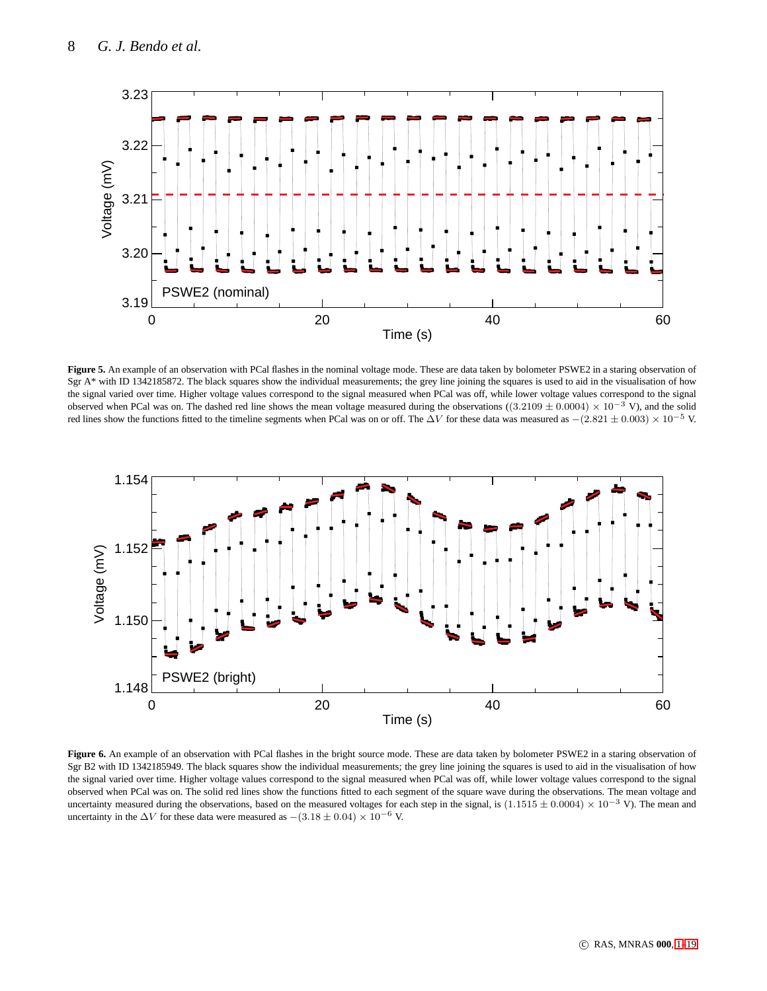

<span id="page-7-0"></span>Figure 5. An example of an observation with PCal flashes in the nominal voltage mode. These are data taken by bolometer PSWE2 in a staring observation of Sgr A\* with ID 1342185872. The black squares show the individual measurements; the grey line joining the squares is used to aid in the visualisation of how the signal varied over time. Higher voltage values correspond to the signal measured when PCal was off, while lower voltage values correspond to the signal observed when PCal was on. The dashed red line shows the mean voltage measured during the observations ((3.2109  $\pm$  0.0004) × 10<sup>-3</sup> V), and the solid red lines show the functions fitted to the timeline segments when PCal was on or off. The  $\Delta V$  for these data was measured as  $-(2.821 \pm 0.003) \times 10^{-5}$  V.



<span id="page-7-1"></span>Figure 6. An example of an observation with PCal flashes in the bright source mode. These are data taken by bolometer PSWE2 in a staring observation of Sgr B2 with ID 1342185949. The black squares show the individual measurements; the grey line joining the squares is used to aid in the visualisation of how the signal varied over time. Higher voltage values correspond to the signal measured when PCal was off, while lower voltage values correspond to the signal observed when PCal was on. The solid red lines show the functions fitted to each segment of the square wave during the observations. The mean voltage and uncertainty measured during the observations, based on the measured voltages for each step in the signal, is  $(1.1515 \pm 0.0004) \times 10^{-3}$  V). The mean and uncertainty in the  $\Delta V$  for these data were measured as  $-(3.18 \pm 0.04) \times 10^{-6}$  V.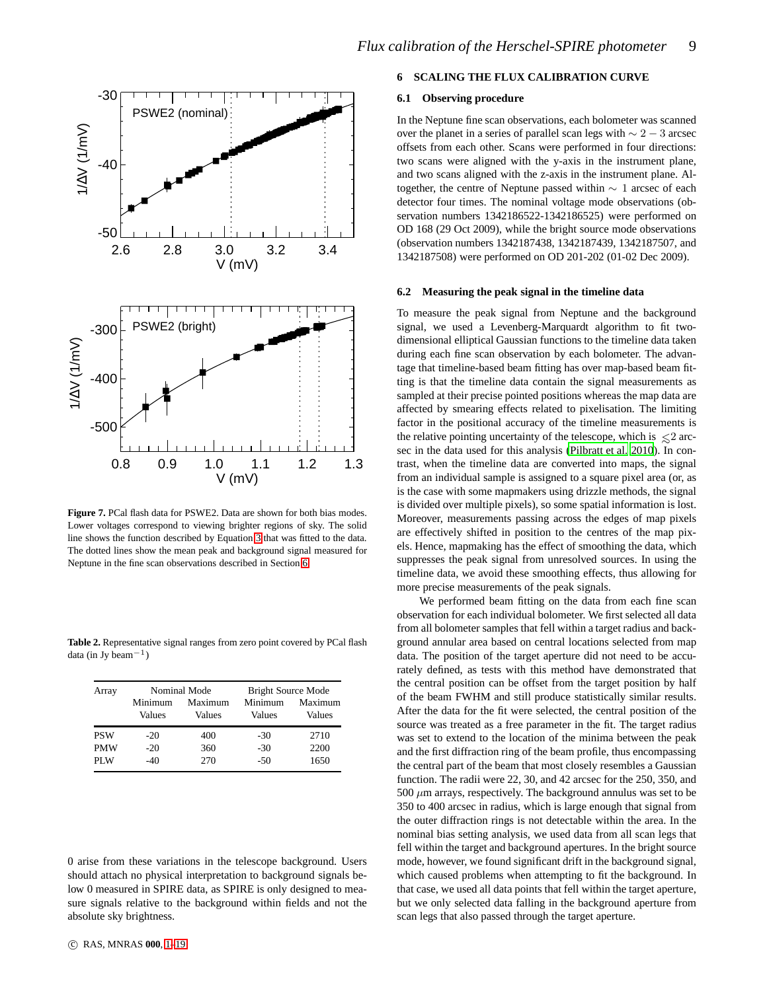

<span id="page-8-1"></span>**Figure 7.** PCal flash data for PSWE2. Data are shown for both bias modes. Lower voltages correspond to viewing brighter regions of sky. The solid line shows the function described by Equation [3](#page-1-4) that was fitted to the data. The dotted lines show the mean peak and background signal measured for Neptune in the fine scan observations described in Section [6.](#page-8-0)

**Table 2.** Representative signal ranges from zero point covered by PCal flash data (in Jy beam<sup>-1</sup>)

<span id="page-8-2"></span>

| Array      |                   | Nominal Mode      | <b>Bright Source Mode</b> |                   |  |
|------------|-------------------|-------------------|---------------------------|-------------------|--|
|            | Minimum<br>Values | Maximum<br>Values | Minimum<br>Values         | Maximum<br>Values |  |
| <b>PSW</b> | $-20$             | 400               | $-30$                     | 2710              |  |
| <b>PMW</b> | $-20$             | 360               | $-30$                     | 2200              |  |
| PLW        | -40               | 270               | $-50$                     | 1650              |  |

0 arise from these variations in the telescope background. Users should attach no physical interpretation to background signals below 0 measured in SPIRE data, as SPIRE is only designed to measure signals relative to the background within fields and not the absolute sky brightness.

# <span id="page-8-0"></span>**6 SCALING THE FLUX CALIBRATION CURVE**

## **6.1 Observing procedure**

In the Neptune fine scan observations, each bolometer was scanned over the planet in a series of parallel scan legs with  $\sim 2 - 3$  arcsec offsets from each other. Scans were performed in four directions: two scans were aligned with the y-axis in the instrument plane, and two scans aligned with the z-axis in the instrument plane. Altogether, the centre of Neptune passed within ∼ 1 arcsec of each detector four times. The nominal voltage mode observations (observation numbers 1342186522-1342186525) were performed on OD 168 (29 Oct 2009), while the bright source mode observations (observation numbers 1342187438, 1342187439, 1342187507, and 1342187508) were performed on OD 201-202 (01-02 Dec 2009).

#### **6.2 Measuring the peak signal in the timeline data**

To measure the peak signal from Neptune and the background signal, we used a Levenberg-Marquardt algorithm to fit twodimensional elliptical Gaussian functions to the timeline data taken during each fine scan observation by each bolometer. The advantage that timeline-based beam fitting has over map-based beam fitting is that the timeline data contain the signal measurements as sampled at their precise pointed positions whereas the map data are affected by smearing effects related to pixelisation. The limiting factor in the positional accuracy of the timeline measurements is the relative pointing uncertainty of the telescope, which is  $\leq 2$  arcsec in the data used for this analysis [\(Pilbratt et al. 2010\)](#page-18-1). In contrast, when the timeline data are converted into maps, the signal from an individual sample is assigned to a square pixel area (or, as is the case with some mapmakers using drizzle methods, the signal is divided over multiple pixels), so some spatial information is lost. Moreover, measurements passing across the edges of map pixels are effectively shifted in position to the centres of the map pixels. Hence, mapmaking has the effect of smoothing the data, which suppresses the peak signal from unresolved sources. In using the timeline data, we avoid these smoothing effects, thus allowing for more precise measurements of the peak signals.

We performed beam fitting on the data from each fine scan observation for each individual bolometer. We first selected all data from all bolometer samples that fell within a target radius and background annular area based on central locations selected from map data. The position of the target aperture did not need to be accurately defined, as tests with this method have demonstrated that the central position can be offset from the target position by half of the beam FWHM and still produce statistically similar results. After the data for the fit were selected, the central position of the source was treated as a free parameter in the fit. The target radius was set to extend to the location of the minima between the peak and the first diffraction ring of the beam profile, thus encompassing the central part of the beam that most closely resembles a Gaussian function. The radii were 22, 30, and 42 arcsec for the 250, 350, and 500  $\mu$ m arrays, respectively. The background annulus was set to be 350 to 400 arcsec in radius, which is large enough that signal from the outer diffraction rings is not detectable within the area. In the nominal bias setting analysis, we used data from all scan legs that fell within the target and background apertures. In the bright source mode, however, we found significant drift in the background signal, which caused problems when attempting to fit the background. In that case, we used all data points that fell within the target aperture, but we only selected data falling in the background aperture from scan legs that also passed through the target aperture.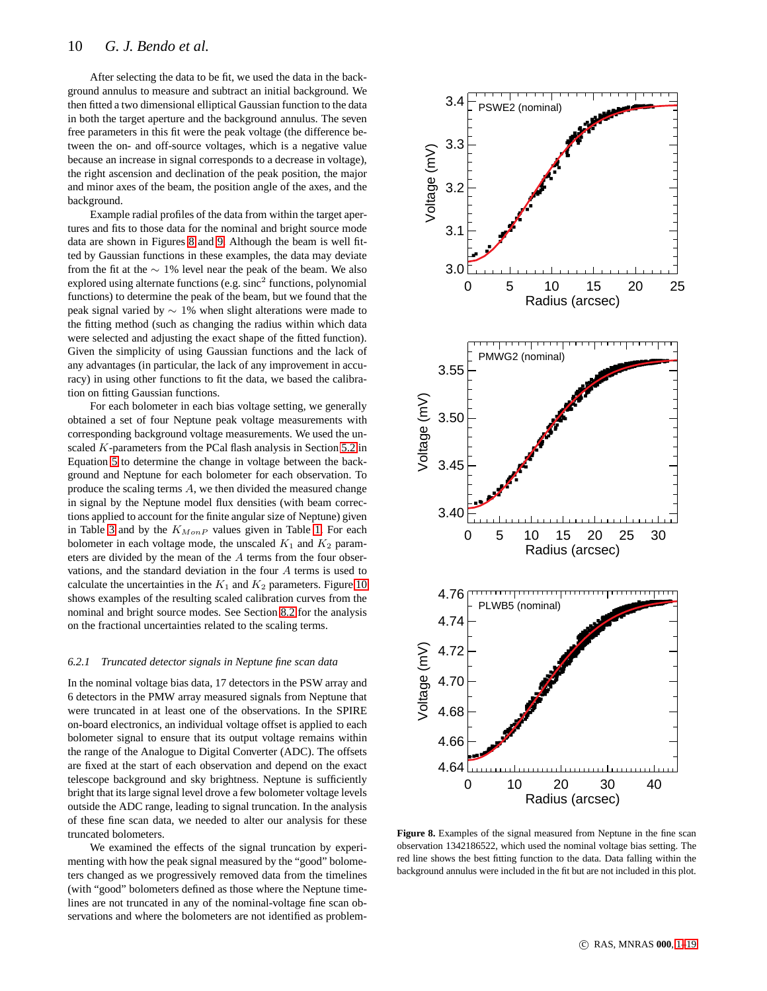# 10 *G. J. Bendo et al.*

After selecting the data to be fit, we used the data in the background annulus to measure and subtract an initial background. We then fitted a two dimensional elliptical Gaussian function to the data in both the target aperture and the background annulus. The seven free parameters in this fit were the peak voltage (the difference between the on- and off-source voltages, which is a negative value because an increase in signal corresponds to a decrease in voltage), the right ascension and declination of the peak position, the major and minor axes of the beam, the position angle of the axes, and the background.

Example radial profiles of the data from within the target apertures and fits to those data for the nominal and bright source mode data are shown in Figures [8](#page-9-0) and [9.](#page-11-1) Although the beam is well fitted by Gaussian functions in these examples, the data may deviate from the fit at the  $\sim$  1% level near the peak of the beam. We also explored using alternate functions (e.g. sinc<sup>2</sup> functions, polynomial functions) to determine the peak of the beam, but we found that the peak signal varied by ∼ 1% when slight alterations were made to the fitting method (such as changing the radius within which data were selected and adjusting the exact shape of the fitted function). Given the simplicity of using Gaussian functions and the lack of any advantages (in particular, the lack of any improvement in accuracy) in using other functions to fit the data, we based the calibration on fitting Gaussian functions.

For each bolometer in each bias voltage setting, we generally obtained a set of four Neptune peak voltage measurements with corresponding background voltage measurements. We used the unscaled K-parameters from the PCal flash analysis in Section [5.2](#page-4-1) in Equation [5](#page-1-5) to determine the change in voltage between the background and Neptune for each bolometer for each observation. To produce the scaling terms  $A$ , we then divided the measured change in signal by the Neptune model flux densities (with beam corrections applied to account for the finite angular size of Neptune) given in Table [3](#page-10-1) and by the  $K_{MonP}$  values given in Table [1.](#page-2-1) For each bolometer in each voltage mode, the unscaled  $K_1$  and  $K_2$  parameters are divided by the mean of the A terms from the four observations, and the standard deviation in the four A terms is used to calculate the uncertainties in the  $K_1$  and  $K_2$  parameters. Figure [10](#page-11-2) shows examples of the resulting scaled calibration curves from the nominal and bright source modes. See Section [8.2](#page-13-1) for the analysis on the fractional uncertainties related to the scaling terms.

#### *6.2.1 Truncated detector signals in Neptune fine scan data*

In the nominal voltage bias data, 17 detectors in the PSW array and 6 detectors in the PMW array measured signals from Neptune that were truncated in at least one of the observations. In the SPIRE on-board electronics, an individual voltage offset is applied to each bolometer signal to ensure that its output voltage remains within the range of the Analogue to Digital Converter (ADC). The offsets are fixed at the start of each observation and depend on the exact telescope background and sky brightness. Neptune is sufficiently bright that its large signal level drove a few bolometer voltage levels outside the ADC range, leading to signal truncation. In the analysis of these fine scan data, we needed to alter our analysis for these truncated bolometers.

We examined the effects of the signal truncation by experimenting with how the peak signal measured by the "good" bolometers changed as we progressively removed data from the timelines (with "good" bolometers defined as those where the Neptune timelines are not truncated in any of the nominal-voltage fine scan observations and where the bolometers are not identified as problem-



<span id="page-9-0"></span>**Figure 8.** Examples of the signal measured from Neptune in the fine scan observation 1342186522, which used the nominal voltage bias setting. The red line shows the best fitting function to the data. Data falling within the background annulus were included in the fit but are not included in this plot.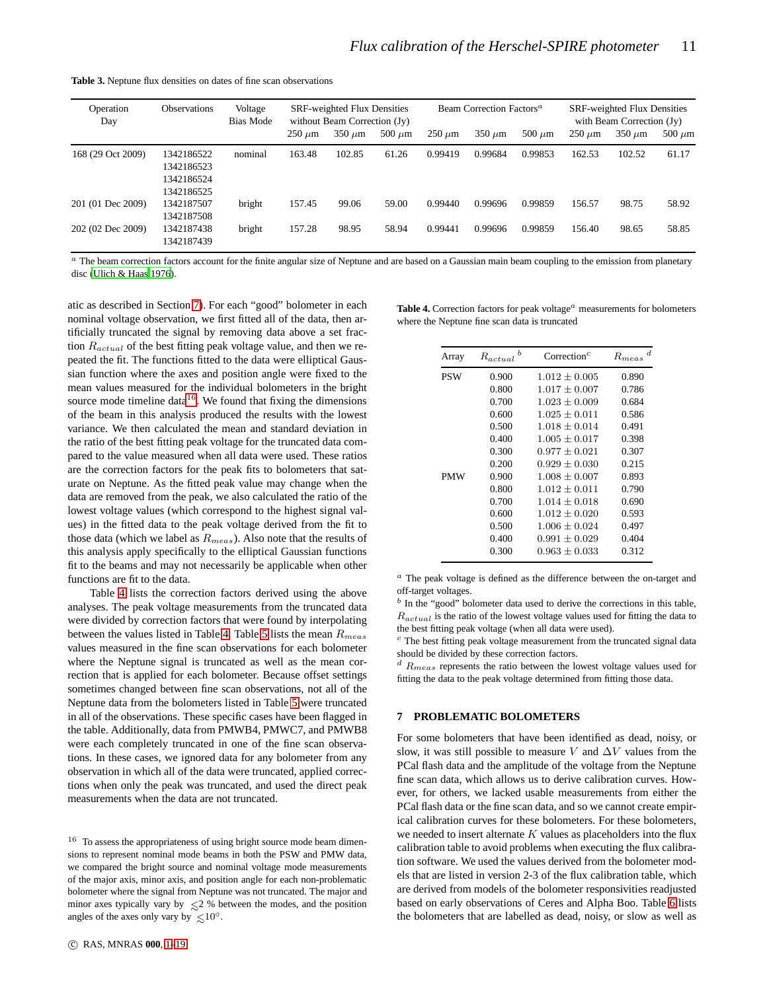| Operation<br>Day  | <b>Observations</b>                                  | Voltage<br><b>Bias Mode</b> | <b>SRF-weighted Flux Densities</b><br>without Beam Correction (Jy) |             | Beam Correction Factors <sup>a</sup> |             |               | <b>SRF-weighted Flux Densities</b><br>with Beam Correction (Jy) |               |             |             |
|-------------------|------------------------------------------------------|-----------------------------|--------------------------------------------------------------------|-------------|--------------------------------------|-------------|---------------|-----------------------------------------------------------------|---------------|-------------|-------------|
|                   |                                                      |                             | $250 \ \mu m$                                                      | $350 \mu m$ | 500 $\mu$ m                          | $250 \mu m$ | $350 \ \mu m$ | 500 $\mu$ m                                                     | $250 \ \mu m$ | $350 \mu m$ | 500 $\mu$ m |
| 168 (29 Oct 2009) | 1342186522<br>1342186523<br>1342186524<br>1342186525 | nominal                     | 163.48                                                             | 102.85      | 61.26                                | 0.99419     | 0.99684       | 0.99853                                                         | 162.53        | 102.52      | 61.17       |
| 201 (01 Dec 2009) | 1342187507<br>1342187508                             | bright                      | 157.45                                                             | 99.06       | 59.00                                | 0.99440     | 0.99696       | 0.99859                                                         | 156.57        | 98.75       | 58.92       |
| 202 (02 Dec 2009) | 1342187438<br>1342187439                             | bright                      | 157.28                                                             | 98.95       | 58.94                                | 0.99441     | 0.99696       | 0.99859                                                         | 156.40        | 98.65       | 58.85       |

<span id="page-10-1"></span>**Table 3.** Neptune flux densities on dates of fine scan observations

<sup>a</sup> The beam correction factors account for the finite angular size of Neptune and are based on a Gaussian main beam coupling to the emission from planetary disc [\(Ulich & Haas 1976](#page-18-12)).

atic as described in Section [7\)](#page-10-0). For each "good" bolometer in each nominal voltage observation, we first fitted all of the data, then artificially truncated the signal by removing data above a set fraction  $R_{actual}$  of the best fitting peak voltage value, and then we repeated the fit. The functions fitted to the data were elliptical Gaussian function where the axes and position angle were fixed to the mean values measured for the individual bolometers in the bright source mode timeline data $16$ . We found that fixing the dimensions of the beam in this analysis produced the results with the lowest variance. We then calculated the mean and standard deviation in the ratio of the best fitting peak voltage for the truncated data compared to the value measured when all data were used. These ratios are the correction factors for the peak fits to bolometers that saturate on Neptune. As the fitted peak value may change when the data are removed from the peak, we also calculated the ratio of the lowest voltage values (which correspond to the highest signal values) in the fitted data to the peak voltage derived from the fit to those data (which we label as  $R_{meas}$ ). Also note that the results of this analysis apply specifically to the elliptical Gaussian functions fit to the beams and may not necessarily be applicable when other functions are fit to the data.

Table [4](#page-10-3) lists the correction factors derived using the above analyses. The peak voltage measurements from the truncated data were divided by correction factors that were found by interpolating between the values listed in Table [4.](#page-10-3) Table [5](#page-12-0) lists the mean  $R_{meas}$ values measured in the fine scan observations for each bolometer where the Neptune signal is truncated as well as the mean correction that is applied for each bolometer. Because offset settings sometimes changed between fine scan observations, not all of the Neptune data from the bolometers listed in Table [5](#page-12-0) were truncated in all of the observations. These specific cases have been flagged in the table. Additionally, data from PMWB4, PMWC7, and PMWB8 were each completely truncated in one of the fine scan observations. In these cases, we ignored data for any bolometer from any observation in which all of the data were truncated, applied corrections when only the peak was truncated, and used the direct peak measurements when the data are not truncated.

<span id="page-10-2"></span><sup>16</sup> To assess the appropriateness of using bright source mode beam dimensions to represent nominal mode beams in both the PSW and PMW data, we compared the bright source and nominal voltage mode measurements of the major axis, minor axis, and position angle for each non-problematic bolometer where the signal from Neptune was not truncated. The major and minor axes typically vary by  $\leq 2$  % between the modes, and the position angles of the axes only vary by  $\approx 10^{\circ}$ .

Table 4. Correction factors for peak voltage<sup>*a*</sup> measurements for bolometers where the Neptune fine scan data is truncated

<span id="page-10-3"></span>

| Array      | Ь<br>$R_{actual}$ | Correction <sup>c</sup> | $\boldsymbol{d}$<br>$R_{meas}$ |
|------------|-------------------|-------------------------|--------------------------------|
| <b>PSW</b> | 0.900             | $1.012 \pm 0.005$       | 0.890                          |
|            | 0.800             | $1.017 + 0.007$         | 0.786                          |
|            | 0.700             | $1.023 + 0.009$         | 0.684                          |
|            | 0.600             | $1.025 + 0.011$         | 0.586                          |
|            | 0.500             | $1.018 + 0.014$         | 0.491                          |
|            | 0.400             | $1.005 + 0.017$         | 0.398                          |
|            | 0.300             | $0.977 + 0.021$         | 0.307                          |
|            | 0.200             | $0.929 + 0.030$         | 0.215                          |
| <b>PMW</b> | 0.900             | $1.008 + 0.007$         | 0.893                          |
|            | 0.800             | $1.012 + 0.011$         | 0.790                          |
|            | 0.700             | $1.014 + 0.018$         | 0.690                          |
|            | 0.600             | $1.012 + 0.020$         | 0.593                          |
|            | 0.500             | $1.006 \pm 0.024$       | 0.497                          |
|            | 0.400             | $0.991 + 0.029$         | 0.404                          |
|            | 0.300             | $0.963 + 0.033$         | 0.312                          |

 $a$  The peak voltage is defined as the difference between the on-target and off-target voltages.

<sup>c</sup> The best fitting peak voltage measurement from the truncated signal data should be divided by these correction factors.

 $d$   $R_{meas}$  represents the ratio between the lowest voltage values used for fitting the data to the peak voltage determined from fitting those data.

# <span id="page-10-0"></span>**7 PROBLEMATIC BOLOMETERS**

For some bolometers that have been identified as dead, noisy, or slow, it was still possible to measure V and  $\Delta V$  values from the PCal flash data and the amplitude of the voltage from the Neptune fine scan data, which allows us to derive calibration curves. However, for others, we lacked usable measurements from either the PCal flash data or the fine scan data, and so we cannot create empirical calibration curves for these bolometers. For these bolometers, we needed to insert alternate  $K$  values as placeholders into the flux calibration table to avoid problems when executing the flux calibration software. We used the values derived from the bolometer models that are listed in version 2-3 of the flux calibration table, which are derived from models of the bolometer responsivities readjusted based on early observations of Ceres and Alpha Boo. Table [6](#page-12-1) lists the bolometers that are labelled as dead, noisy, or slow as well as

 $<sup>b</sup>$  In the "good" bolometer data used to derive the corrections in this table,</sup>  $R_{actual}$  is the ratio of the lowest voltage values used for fitting the data to the best fitting peak voltage (when all data were used).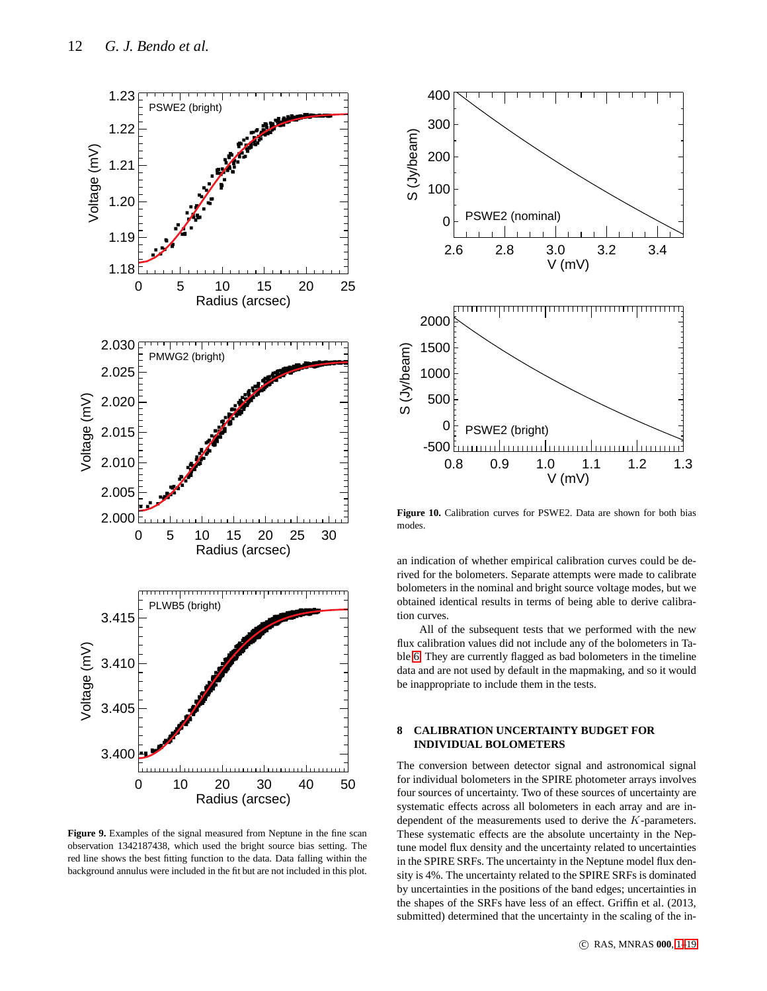

<span id="page-11-1"></span>**Figure 9.** Examples of the signal measured from Neptune in the fine scan observation 1342187438, which used the bright source bias setting. The red line shows the best fitting function to the data. Data falling within the background annulus were included in the fit but are not included in this plot.



<span id="page-11-2"></span>**Figure 10.** Calibration curves for PSWE2. Data are shown for both bias modes.

an indication of whether empirical calibration curves could be derived for the bolometers. Separate attempts were made to calibrate bolometers in the nominal and bright source voltage modes, but we obtained identical results in terms of being able to derive calibration curves.

All of the subsequent tests that we performed with the new flux calibration values did not include any of the bolometers in Table [6.](#page-12-1) They are currently flagged as bad bolometers in the timeline data and are not used by default in the mapmaking, and so it would be inappropriate to include them in the tests.

## <span id="page-11-0"></span>**8 CALIBRATION UNCERTAINTY BUDGET FOR INDIVIDUAL BOLOMETERS**

The conversion between detector signal and astronomical signal for individual bolometers in the SPIRE photometer arrays involves four sources of uncertainty. Two of these sources of uncertainty are systematic effects across all bolometers in each array and are independent of the measurements used to derive the K-parameters. These systematic effects are the absolute uncertainty in the Neptune model flux density and the uncertainty related to uncertainties in the SPIRE SRFs. The uncertainty in the Neptune model flux density is 4%. The uncertainty related to the SPIRE SRFs is dominated by uncertainties in the positions of the band edges; uncertainties in the shapes of the SRFs have less of an effect. Griffin et al. (2013, submitted) determined that the uncertainty in the scaling of the in-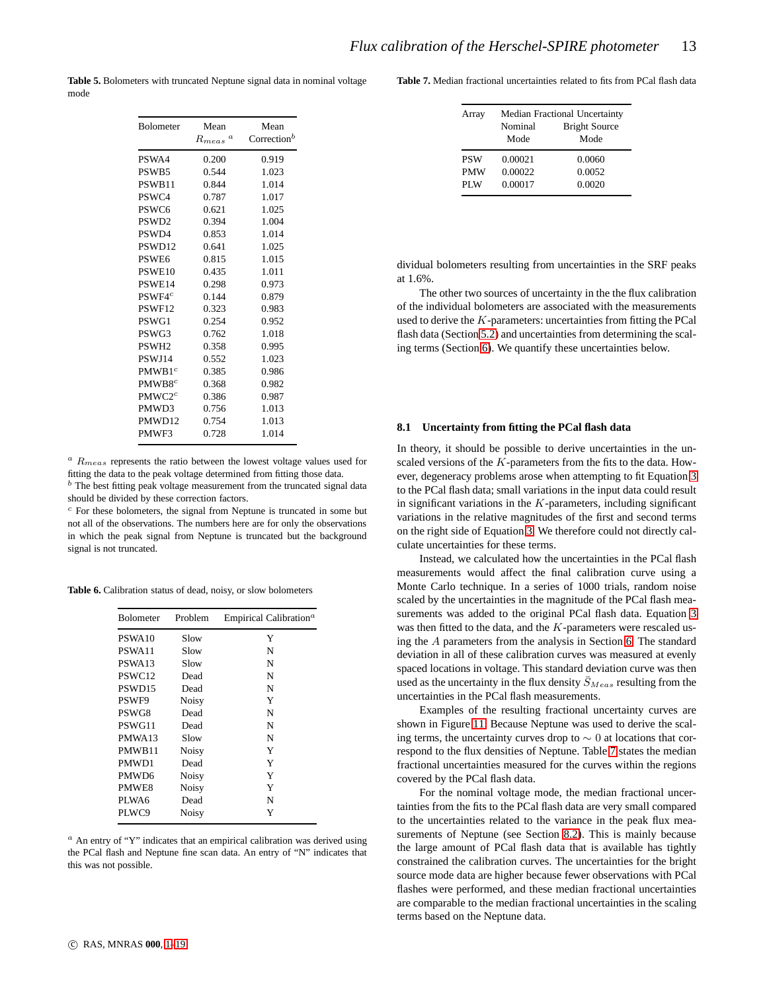<span id="page-12-0"></span>**Table 5.** Bolometers with truncated Neptune signal data in nominal voltage mode

| <b>Bolometer</b>   | Mean                         | Mean           |
|--------------------|------------------------------|----------------|
|                    | $\overline{a}$<br>$R_{meas}$ | Correction $b$ |
| PSWA4              | 0.200                        | 0.919          |
| PSW <sub>B5</sub>  | 0.544                        | 1.023          |
| PSWB11             | 0.844                        | 1.014          |
| PSWC4              | 0.787                        | 1.017          |
| PSWC <sub>6</sub>  | 0.621                        | 1.025          |
| PSWD <sub>2</sub>  | 0.394                        | 1.004          |
| PSWD4              | 0.853                        | 1.014          |
| PSWD12             | 0.641                        | 1.025          |
| PSWE <sub>6</sub>  | 0.815                        | 1.015          |
| PSWE <sub>10</sub> | 0.435                        | 1.011          |
| PSWE14             | 0.298                        | 0.973          |
| PSWF4 <sup>c</sup> | 0.144                        | 0.879          |
| PSWF12             | 0.323                        | 0.983          |
| PSWG1              | 0.254                        | 0.952          |
| PSWG3              | 0.762                        | 1.018          |
| PSWH <sub>2</sub>  | 0.358                        | 0.995          |
| PSWJ14             | 0.552                        | 1.023          |
| PMWB1 <sup>c</sup> | 0.385                        | 0.986          |
| PMWB8 <sup>c</sup> | 0.368                        | 0.982          |
| PMWC2 <sup>c</sup> | 0.386                        | 0.987          |
| PMWD3              | 0.756                        | 1.013          |
| PMWD12             | 0.754                        | 1.013          |
| PMWF3              | 0.728                        | 1.014          |

 $a$   $R_{meas}$  represents the ratio between the lowest voltage values used for fitting the data to the peak voltage determined from fitting those data.

 $<sup>b</sup>$  The best fitting peak voltage measurement from the truncated signal data</sup> should be divided by these correction factors.

 $c$  For these bolometers, the signal from Neptune is truncated in some but not all of the observations. The numbers here are for only the observations in which the peak signal from Neptune is truncated but the background signal is not truncated.

**Table 6.** Calibration status of dead, noisy, or slow bolometers

<span id="page-12-1"></span>

| <b>Bolometer</b>  | Problem      | Empirical Calibration <sup>a</sup> |
|-------------------|--------------|------------------------------------|
| PSWA10            | Slow         | Y                                  |
| PSWA11            | Slow         | N                                  |
| PSWA13            | Slow         | N                                  |
| PSWC12            | Dead         | N                                  |
| PSWD15            | Dead         | N                                  |
| PSWF9             | <b>Noisy</b> | Y                                  |
| PSWG8             | Dead         | N                                  |
| PSWG11            | Dead         | N                                  |
| PMWA13            | Slow         | N                                  |
| PMWB11            | Noisy        | Y                                  |
| PMWD1             | Dead         | Y                                  |
| PMWD <sub>6</sub> | Noisy        | Y                                  |
| PMWE8             | <b>Noisy</b> | Y                                  |
| PLWA6             | Dead         | N                                  |
| PLWC9             | Noisy        | Y                                  |

 $\alpha$  An entry of "Y" indicates that an empirical calibration was derived using the PCal flash and Neptune fine scan data. An entry of "N" indicates that this was not possible.

**Table 7.** Median fractional uncertainties related to fits from PCal flash data

<span id="page-12-2"></span>

| Array      | <b>Median Fractional Uncertainty</b> |                      |  |  |  |
|------------|--------------------------------------|----------------------|--|--|--|
|            | Nominal                              | <b>Bright Source</b> |  |  |  |
|            | Mode                                 | Mode                 |  |  |  |
| <b>PSW</b> | 0.00021                              | 0.0060               |  |  |  |
| <b>PMW</b> | 0.00022                              | 0.0052               |  |  |  |
| PLW        | 0.00017                              | 0.0020               |  |  |  |

dividual bolometers resulting from uncertainties in the SRF peaks at 1.6%.

The other two sources of uncertainty in the the flux calibration of the individual bolometers are associated with the measurements used to derive the K-parameters: uncertainties from fitting the PCal flash data (Section [5.2\)](#page-4-1) and uncertainties from determining the scaling terms (Section [6\)](#page-8-0). We quantify these uncertainties below.

#### **8.1 Uncertainty from fitting the PCal flash data**

In theory, it should be possible to derive uncertainties in the unscaled versions of the  $K$ -parameters from the fits to the data. However, degeneracy problems arose when attempting to fit Equation [3](#page-1-4) to the PCal flash data; small variations in the input data could result in significant variations in the  $K$ -parameters, including significant variations in the relative magnitudes of the first and second terms on the right side of Equation [3.](#page-1-4) We therefore could not directly calculate uncertainties for these terms.

Instead, we calculated how the uncertainties in the PCal flash measurements would affect the final calibration curve using a Monte Carlo technique. In a series of 1000 trials, random noise scaled by the uncertainties in the magnitude of the PCal flash measurements was added to the original PCal flash data. Equation [3](#page-1-4) was then fitted to the data, and the K-parameters were rescaled using the A parameters from the analysis in Section [6.](#page-8-0) The standard deviation in all of these calibration curves was measured at evenly spaced locations in voltage. This standard deviation curve was then used as the uncertainty in the flux density  $\bar{S}_{Meas}$  resulting from the uncertainties in the PCal flash measurements.

Examples of the resulting fractional uncertainty curves are shown in Figure [11.](#page-13-2) Because Neptune was used to derive the scaling terms, the uncertainty curves drop to  $\sim 0$  at locations that correspond to the flux densities of Neptune. Table [7](#page-12-2) states the median fractional uncertainties measured for the curves within the regions covered by the PCal flash data.

For the nominal voltage mode, the median fractional uncertainties from the fits to the PCal flash data are very small compared to the uncertainties related to the variance in the peak flux measurements of Neptune (see Section [8.2\)](#page-13-1). This is mainly because the large amount of PCal flash data that is available has tightly constrained the calibration curves. The uncertainties for the bright source mode data are higher because fewer observations with PCal flashes were performed, and these median fractional uncertainties are comparable to the median fractional uncertainties in the scaling terms based on the Neptune data.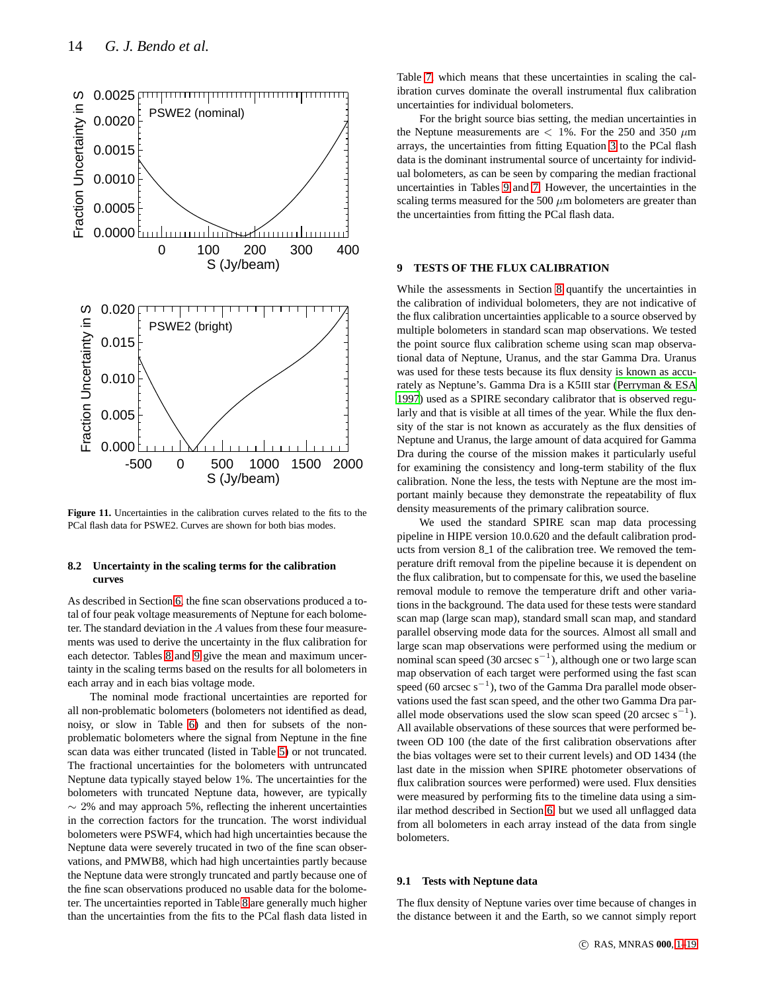

<span id="page-13-2"></span>**Figure 11.** Uncertainties in the calibration curves related to the fits to the PCal flash data for PSWE2. Curves are shown for both bias modes.

# <span id="page-13-1"></span>**8.2 Uncertainty in the scaling terms for the calibration curves**

As described in Section [6,](#page-8-0) the fine scan observations produced a total of four peak voltage measurements of Neptune for each bolometer. The standard deviation in the A values from these four measurements was used to derive the uncertainty in the flux calibration for each detector. Tables [8](#page-14-0) and [9](#page-14-1) give the mean and maximum uncertainty in the scaling terms based on the results for all bolometers in each array and in each bias voltage mode.

The nominal mode fractional uncertainties are reported for all non-problematic bolometers (bolometers not identified as dead, noisy, or slow in Table [6\)](#page-12-1) and then for subsets of the nonproblematic bolometers where the signal from Neptune in the fine scan data was either truncated (listed in Table [5\)](#page-12-0) or not truncated. The fractional uncertainties for the bolometers with untruncated Neptune data typically stayed below 1%. The uncertainties for the bolometers with truncated Neptune data, however, are typically  $\sim$  2% and may approach 5%, reflecting the inherent uncertainties in the correction factors for the truncation. The worst individual bolometers were PSWF4, which had high uncertainties because the Neptune data were severely trucated in two of the fine scan observations, and PMWB8, which had high uncertainties partly because the Neptune data were strongly truncated and partly because one of the fine scan observations produced no usable data for the bolometer. The uncertainties reported in Table [8](#page-14-0) are generally much higher than the uncertainties from the fits to the PCal flash data listed in Table [7,](#page-12-2) which means that these uncertainties in scaling the calibration curves dominate the overall instrumental flux calibration uncertainties for individual bolometers.

For the bright source bias setting, the median uncertainties in the Neptune measurements are  $< 1\%$ . For the 250 and 350  $\mu$ m arrays, the uncertainties from fitting Equation [3](#page-1-4) to the PCal flash data is the dominant instrumental source of uncertainty for individual bolometers, as can be seen by comparing the median fractional uncertainties in Tables [9](#page-14-1) and [7.](#page-12-2) However, the uncertainties in the scaling terms measured for the 500  $\mu$ m bolometers are greater than the uncertainties from fitting the PCal flash data.

## <span id="page-13-0"></span>**9 TESTS OF THE FLUX CALIBRATION**

While the assessments in Section [8](#page-11-0) quantify the uncertainties in the calibration of individual bolometers, they are not indicative of the flux calibration uncertainties applicable to a source observed by multiple bolometers in standard scan map observations. We tested the point source flux calibration scheme using scan map observational data of Neptune, Uranus, and the star Gamma Dra. Uranus was used for these tests because its flux density is known as accurately as Neptune's. Gamma Dra is a K5III star [\(Perryman & ESA](#page-18-13) [1997\)](#page-18-13) used as a SPIRE secondary calibrator that is observed regularly and that is visible at all times of the year. While the flux density of the star is not known as accurately as the flux densities of Neptune and Uranus, the large amount of data acquired for Gamma Dra during the course of the mission makes it particularly useful for examining the consistency and long-term stability of the flux calibration. None the less, the tests with Neptune are the most important mainly because they demonstrate the repeatability of flux density measurements of the primary calibration source.

We used the standard SPIRE scan map data processing pipeline in HIPE version 10.0.620 and the default calibration products from version 8 1 of the calibration tree. We removed the temperature drift removal from the pipeline because it is dependent on the flux calibration, but to compensate for this, we used the baseline removal module to remove the temperature drift and other variations in the background. The data used for these tests were standard scan map (large scan map), standard small scan map, and standard parallel observing mode data for the sources. Almost all small and large scan map observations were performed using the medium or nominal scan speed (30 arcsec s<sup>-1</sup>), although one or two large scan map observation of each target were performed using the fast scan speed (60 arcsec s<sup>-1</sup>), two of the Gamma Dra parallel mode observations used the fast scan speed, and the other two Gamma Dra parallel mode observations used the slow scan speed (20 arcsec  $\sin^{-1}$ ). All available observations of these sources that were performed between OD 100 (the date of the first calibration observations after the bias voltages were set to their current levels) and OD 1434 (the last date in the mission when SPIRE photometer observations of flux calibration sources were performed) were used. Flux densities were measured by performing fits to the timeline data using a similar method described in Section [6,](#page-8-0) but we used all unflagged data from all bolometers in each array instead of the data from single bolometers.

## **9.1 Tests with Neptune data**

The flux density of Neptune varies over time because of changes in the distance between it and the Earth, so we cannot simply report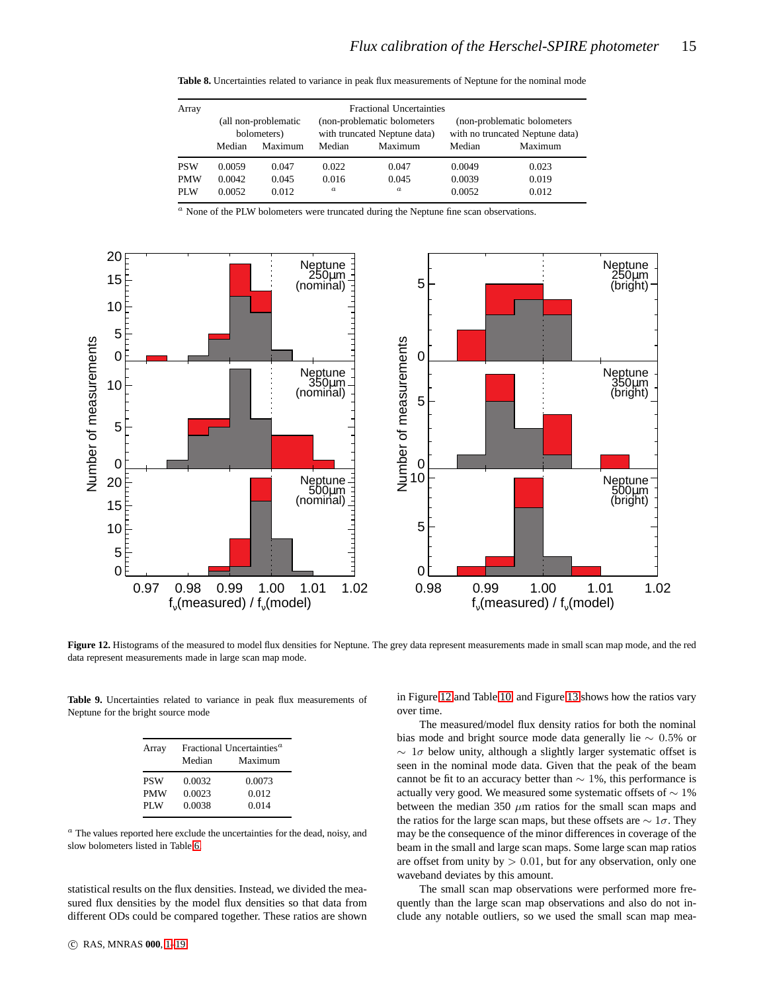| Array      |        |                                     |                  | <b>Fractional Uncertainties</b>                             |        |                                                                 |
|------------|--------|-------------------------------------|------------------|-------------------------------------------------------------|--------|-----------------------------------------------------------------|
|            |        | (all non-problematic<br>bolometers) |                  | (non-problematic bolometers<br>with truncated Neptune data) |        | (non-problematic bolometers)<br>with no truncated Neptune data) |
|            | Median | Maximum                             | Median           | Maximum                                                     | Median | Maximum                                                         |
| <b>PSW</b> | 0.0059 | 0.047                               | 0.022            | 0.047                                                       | 0.0049 | 0.023                                                           |
| <b>PMW</b> | 0.0042 | 0.045                               | 0.016            | 0.045                                                       | 0.0039 | 0.019                                                           |
| PLW        | 0.0052 | 0.012                               | $\boldsymbol{a}$ | $\boldsymbol{a}$                                            | 0.0052 | 0.012                                                           |

<span id="page-14-0"></span>**Table 8.** Uncertainties related to variance in peak flux measurements of Neptune for the nominal mode

<sup>a</sup> None of the PLW bolometers were truncated during the Neptune fine scan observations.



<span id="page-14-2"></span>**Figure 12.** Histograms of the measured to model flux densities for Neptune. The grey data represent measurements made in small scan map mode, and the red data represent measurements made in large scan map mode.

<span id="page-14-1"></span>**Table 9.** Uncertainties related to variance in peak flux measurements of Neptune for the bright source mode

| Array      | Fractional Uncertainties <sup>a</sup> |         |  |  |  |
|------------|---------------------------------------|---------|--|--|--|
|            | Median                                | Maximum |  |  |  |
| <b>PSW</b> | 0.0032                                | 0.0073  |  |  |  |
| <b>PMW</b> | 0.0023                                | 0.012   |  |  |  |
| PLW        | 0.0038                                | 0.014   |  |  |  |

<sup>a</sup> The values reported here exclude the uncertainties for the dead, noisy, and slow bolometers listed in Table [6.](#page-12-1)

statistical results on the flux densities. Instead, we divided the measured flux densities by the model flux densities so that data from different ODs could be compared together. These ratios are shown in Figure [12](#page-14-2) and Table [10,](#page-15-0) and Figure [13](#page-15-1) shows how the ratios vary over time.

The measured/model flux density ratios for both the nominal bias mode and bright source mode data generally lie ∼ 0.5% or  $\sim 1\sigma$  below unity, although a slightly larger systematic offset is seen in the nominal mode data. Given that the peak of the beam cannot be fit to an accuracy better than  $\sim$  1%, this performance is actually very good. We measured some systematic offsets of  $\sim 1\%$ between the median 350  $\mu$ m ratios for the small scan maps and the ratios for the large scan maps, but these offsets are  $\sim 1\sigma$ . They may be the consequence of the minor differences in coverage of the beam in the small and large scan maps. Some large scan map ratios are offset from unity by  $> 0.01$ , but for any observation, only one waveband deviates by this amount.

The small scan map observations were performed more frequently than the large scan map observations and also do not include any notable outliers, so we used the small scan map mea-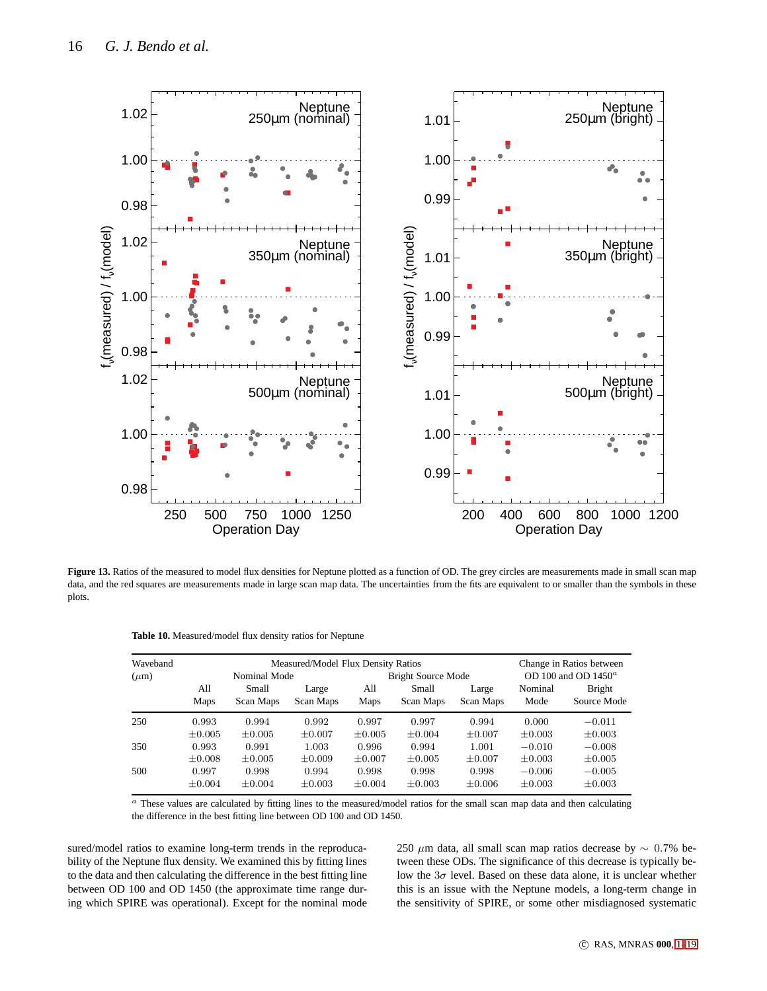

<span id="page-15-1"></span>Figure 13. Ratios of the measured to model flux densities for Neptune plotted as a function of OD. The grey circles are measurements made in small scan map data, and the red squares are measurements made in large scan map data. The uncertainties from the fits are equivalent to or smaller than the symbols in these plots.

<span id="page-15-0"></span>

| Waveband<br>$(\mu m)$ |             | Measured/Model Flux Density Ratios<br>Nominal Mode |             |             | <b>Bright Source Mode</b> |             |             | Change in Ratios between<br>OD 100 and OD $1450^a$ |  |  |
|-----------------------|-------------|----------------------------------------------------|-------------|-------------|---------------------------|-------------|-------------|----------------------------------------------------|--|--|
|                       | All         | Small                                              | Large       | All         | Small                     | Large       | Nominal     | <b>Bright</b>                                      |  |  |
|                       | <b>Maps</b> | Scan Maps                                          | Scan Maps   | Maps        | Scan Maps                 | Scan Maps   | Mode        | Source Mode                                        |  |  |
| 250                   | 0.993       | 0.994                                              | 0.992       | 0.997       | 0.997                     | 0.994       | 0.000       | $-0.011$                                           |  |  |
|                       | $+0.005$    | $+0.005$                                           | $\pm 0.007$ | $+0.005$    | $+0.004$                  | $\pm 0.007$ | $\pm 0.003$ | $\pm 0.003$                                        |  |  |
| 350                   | 0.993       | 0.991                                              | 1.003       | 0.996       | 0.994                     | 1.001       | $-0.010$    | $-0.008$                                           |  |  |
|                       | $+0.008$    | $+0.005$                                           | $+0.009$    | $+0.007$    | $+0.005$                  | $\pm 0.007$ | $\pm 0.003$ | $\pm 0.005$                                        |  |  |
| 500                   | 0.997       | 0.998                                              | 0.994       | 0.998       | 0.998                     | 0.998       | $-0.006$    | $-0.005$                                           |  |  |
|                       | $\pm 0.004$ | $\pm 0.004$                                        | $\pm 0.003$ | $\pm 0.004$ | $\pm 0.003$               | $\pm 0.006$ | $\pm 0.003$ | $\pm 0.003$                                        |  |  |

<sup>a</sup> These values are calculated by fitting lines to the measured/model ratios for the small scan map data and then calculating the difference in the best fitting line between OD 100 and OD 1450.

sured/model ratios to examine long-term trends in the reproducability of the Neptune flux density. We examined this by fitting lines to the data and then calculating the difference in the best fitting line between OD 100 and OD 1450 (the approximate time range during which SPIRE was operational). Except for the nominal mode 250  $\mu$ m data, all small scan map ratios decrease by  $\sim 0.7\%$  between these ODs. The significance of this decrease is typically below the  $3\sigma$  level. Based on these data alone, it is unclear whether this is an issue with the Neptune models, a long-term change in the sensitivity of SPIRE, or some other misdiagnosed systematic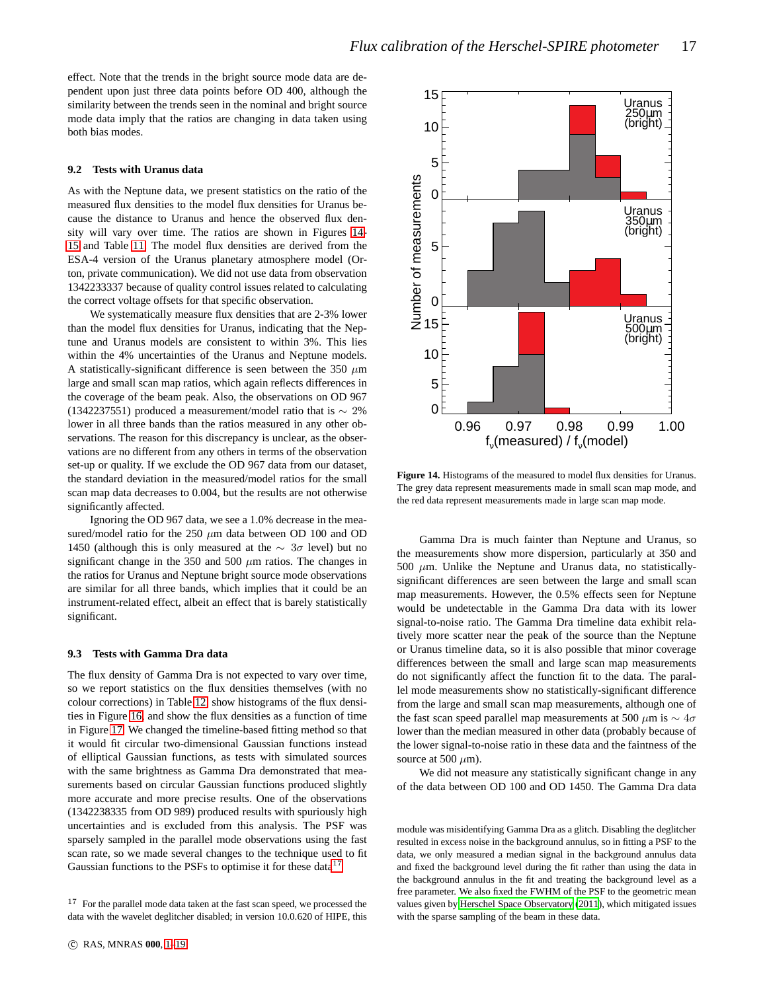effect. Note that the trends in the bright source mode data are dependent upon just three data points before OD 400, although the similarity between the trends seen in the nominal and bright source mode data imply that the ratios are changing in data taken using both bias modes.

## **9.2 Tests with Uranus data**

As with the Neptune data, we present statistics on the ratio of the measured flux densities to the model flux densities for Uranus because the distance to Uranus and hence the observed flux density will vary over time. The ratios are shown in Figures [14-](#page-16-0) [15](#page-18-14) and Table [11.](#page-17-6) The model flux densities are derived from the ESA-4 version of the Uranus planetary atmosphere model (Orton, private communication). We did not use data from observation 1342233337 because of quality control issues related to calculating the correct voltage offsets for that specific observation.

We systematically measure flux densities that are 2-3% lower than the model flux densities for Uranus, indicating that the Neptune and Uranus models are consistent to within 3%. This lies within the 4% uncertainties of the Uranus and Neptune models. A statistically-significant difference is seen between the 350  $\mu$ m large and small scan map ratios, which again reflects differences in the coverage of the beam peak. Also, the observations on OD 967 (1342237551) produced a measurement/model ratio that is  $\sim 2\%$ lower in all three bands than the ratios measured in any other observations. The reason for this discrepancy is unclear, as the observations are no different from any others in terms of the observation set-up or quality. If we exclude the OD 967 data from our dataset, the standard deviation in the measured/model ratios for the small scan map data decreases to 0.004, but the results are not otherwise significantly affected.

Ignoring the OD 967 data, we see a 1.0% decrease in the measured/model ratio for the 250  $\mu$ m data between OD 100 and OD 1450 (although this is only measured at the  $\sim 3\sigma$  level) but no significant change in the 350 and 500  $\mu$ m ratios. The changes in the ratios for Uranus and Neptune bright source mode observations are similar for all three bands, which implies that it could be an instrument-related effect, albeit an effect that is barely statistically significant.

## **9.3 Tests with Gamma Dra data**

The flux density of Gamma Dra is not expected to vary over time, so we report statistics on the flux densities themselves (with no colour corrections) in Table [12,](#page-17-7) show histograms of the flux densities in Figure [16,](#page-18-15) and show the flux densities as a function of time in Figure [17.](#page-19-0) We changed the timeline-based fitting method so that it would fit circular two-dimensional Gaussian functions instead of elliptical Gaussian functions, as tests with simulated sources with the same brightness as Gamma Dra demonstrated that measurements based on circular Gaussian functions produced slightly more accurate and more precise results. One of the observations (1342238335 from OD 989) produced results with spuriously high uncertainties and is excluded from this analysis. The PSF was sparsely sampled in the parallel mode observations using the fast scan rate, so we made several changes to the technique used to fit Gaussian functions to the PSFs to optimise it for these data<sup>[17](#page-16-1)</sup>



<span id="page-16-0"></span>Figure 14. Histograms of the measured to model flux densities for Uranus. The grey data represent measurements made in small scan map mode, and the red data represent measurements made in large scan map mode.

Gamma Dra is much fainter than Neptune and Uranus, so the measurements show more dispersion, particularly at 350 and 500  $\mu$ m. Unlike the Neptune and Uranus data, no statisticallysignificant differences are seen between the large and small scan map measurements. However, the 0.5% effects seen for Neptune would be undetectable in the Gamma Dra data with its lower signal-to-noise ratio. The Gamma Dra timeline data exhibit relatively more scatter near the peak of the source than the Neptune or Uranus timeline data, so it is also possible that minor coverage differences between the small and large scan map measurements do not significantly affect the function fit to the data. The parallel mode measurements show no statistically-significant difference from the large and small scan map measurements, although one of the fast scan speed parallel map measurements at 500  $\mu$ m is ~ 4 $\sigma$ lower than the median measured in other data (probably because of the lower signal-to-noise ratio in these data and the faintness of the source at 500  $\mu$ m).

We did not measure any statistically significant change in any of the data between OD 100 and OD 1450. The Gamma Dra data

module was misidentifying Gamma Dra as a glitch. Disabling the deglitcher resulted in excess noise in the background annulus, so in fitting a PSF to the data, we only measured a median signal in the background annulus data and fixed the background level during the fit rather than using the data in the background annulus in the fit and treating the background level as a free parameter. We also fixed the FWHM of the PSF to the geometric mean values given by [Herschel Space Observatory \(2011](#page-18-3)), which mitigated issues with the sparse sampling of the beam in these data.

<span id="page-16-1"></span><sup>&</sup>lt;sup>17</sup> For the parallel mode data taken at the fast scan speed, we processed the data with the wavelet deglitcher disabled; in version 10.0.620 of HIPE, this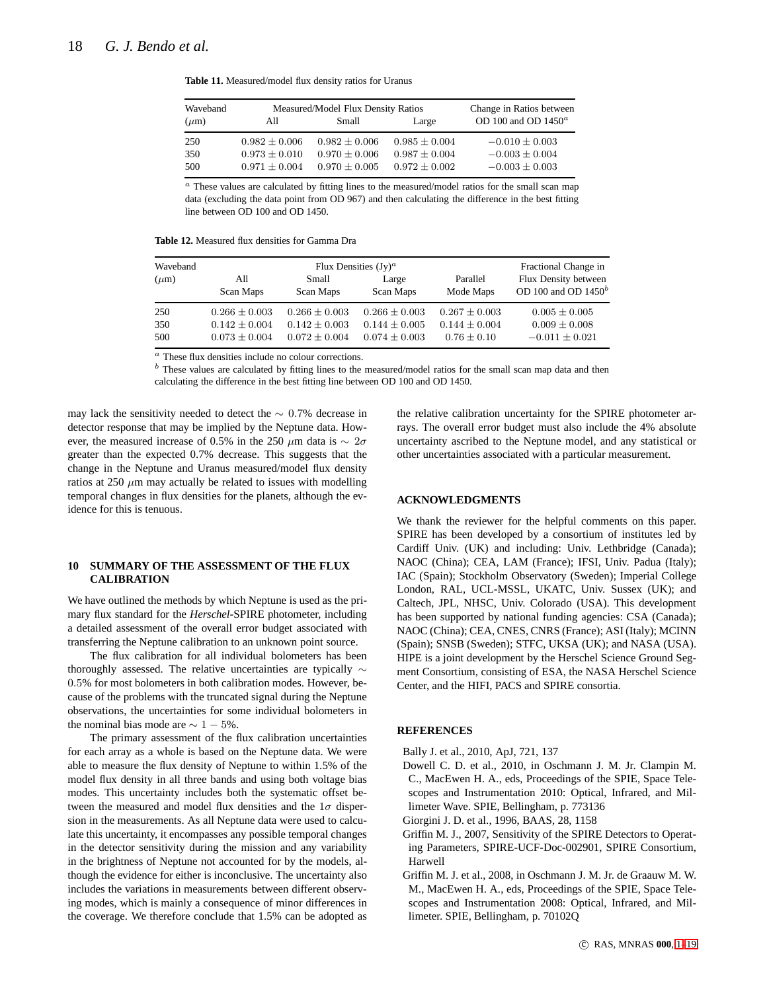<span id="page-17-6"></span>

|  | Table 11. Measured/model flux density ratios for Uranus |  |  |  |  |  |
|--|---------------------------------------------------------|--|--|--|--|--|
|--|---------------------------------------------------------|--|--|--|--|--|

| Waveband<br>$(\mu m)$ | Measured/Model Flux Density Ratios<br>All | Change in Ratios between<br>OD 100 and OD 1450 $a$ |                   |                    |
|-----------------------|-------------------------------------------|----------------------------------------------------|-------------------|--------------------|
| 250                   | $0.982 \pm 0.006$                         | $0.982 \pm 0.006$                                  | $0.985 \pm 0.004$ | $-0.010 \pm 0.003$ |
| 350                   | $0.973 \pm 0.010$                         | $0.970 \pm 0.006$                                  | $0.987 \pm 0.004$ | $-0.003 \pm 0.004$ |
| 500                   | $0.971 \pm 0.004$                         | $0.970 + 0.005$                                    | $0.972 \pm 0.002$ | $-0.003 \pm 0.003$ |

<sup>a</sup> These values are calculated by fitting lines to the measured/model ratios for the small scan map data (excluding the data point from OD 967) and then calculating the difference in the best fitting line between OD 100 and OD 1450.

<span id="page-17-7"></span>**Table 12.** Measured flux densities for Gamma Dra

| Waveband  |                   | Fractional Change in |                   |                   |                        |
|-----------|-------------------|----------------------|-------------------|-------------------|------------------------|
| $(\mu m)$ | All               | Small                | Large             | Parallel          | Flux Density between   |
|           | Scan Maps         | Scan Maps            | Scan Maps         | Mode Maps         | OD 100 and OD $1450^b$ |
| 250       | $0.266 \pm 0.003$ | $0.266 \pm 0.003$    | $0.266 \pm 0.003$ | $0.267 \pm 0.003$ | $0.005 \pm 0.005$      |
| 350       | $0.142 \pm 0.004$ | $0.142 \pm 0.003$    | $0.144 \pm 0.005$ | $0.144 \pm 0.004$ | $0.009 \pm 0.008$      |
| 500       | $0.073 \pm 0.004$ | $0.072 \pm 0.004$    | $0.074 \pm 0.003$ | $0.76 \pm 0.10$   | $-0.011 \pm 0.021$     |

<sup>a</sup> These flux densities include no colour corrections.

<sup>b</sup> These values are calculated by fitting lines to the measured/model ratios for the small scan map data and then calculating the difference in the best fitting line between OD 100 and OD 1450.

may lack the sensitivity needed to detect the ∼ 0.7% decrease in detector response that may be implied by the Neptune data. However, the measured increase of 0.5% in the 250  $\mu$ m data is ~ 2 $\sigma$ greater than the expected 0.7% decrease. This suggests that the change in the Neptune and Uranus measured/model flux density ratios at  $250 \mu m$  may actually be related to issues with modelling temporal changes in flux densities for the planets, although the evidence for this is tenuous.

# <span id="page-17-2"></span>**10 SUMMARY OF THE ASSESSMENT OF THE FLUX CALIBRATION**

We have outlined the methods by which Neptune is used as the primary flux standard for the *Herschel*-SPIRE photometer, including a detailed assessment of the overall error budget associated with transferring the Neptune calibration to an unknown point source.

The flux calibration for all individual bolometers has been thoroughly assessed. The relative uncertainties are typically ∼ 0.5% for most bolometers in both calibration modes. However, because of the problems with the truncated signal during the Neptune observations, the uncertainties for some individual bolometers in the nominal bias mode are  $\sim 1 - 5\%$ .

The primary assessment of the flux calibration uncertainties for each array as a whole is based on the Neptune data. We were able to measure the flux density of Neptune to within 1.5% of the model flux density in all three bands and using both voltage bias modes. This uncertainty includes both the systematic offset between the measured and model flux densities and the  $1\sigma$  dispersion in the measurements. As all Neptune data were used to calculate this uncertainty, it encompasses any possible temporal changes in the detector sensitivity during the mission and any variability in the brightness of Neptune not accounted for by the models, although the evidence for either is inconclusive. The uncertainty also includes the variations in measurements between different observing modes, which is mainly a consequence of minor differences in the coverage. We therefore conclude that 1.5% can be adopted as the relative calibration uncertainty for the SPIRE photometer arrays. The overall error budget must also include the 4% absolute uncertainty ascribed to the Neptune model, and any statistical or other uncertainties associated with a particular measurement.

## **ACKNOWLEDGMENTS**

We thank the reviewer for the helpful comments on this paper. SPIRE has been developed by a consortium of institutes led by Cardiff Univ. (UK) and including: Univ. Lethbridge (Canada); NAOC (China); CEA, LAM (France); IFSI, Univ. Padua (Italy); IAC (Spain); Stockholm Observatory (Sweden); Imperial College London, RAL, UCL-MSSL, UKATC, Univ. Sussex (UK); and Caltech, JPL, NHSC, Univ. Colorado (USA). This development has been supported by national funding agencies: CSA (Canada); NAOC (China); CEA, CNES, CNRS (France); ASI (Italy); MCINN (Spain); SNSB (Sweden); STFC, UKSA (UK); and NASA (USA). HIPE is a joint development by the Herschel Science Ground Segment Consortium, consisting of ESA, the NASA Herschel Science Center, and the HIFI, PACS and SPIRE consortia.

# **REFERENCES**

<span id="page-17-5"></span>Bally J. et al., 2010, ApJ, 721, 137

- <span id="page-17-1"></span>Dowell C. D. et al., 2010, in Oschmann J. M. Jr. Clampin M. C., MacEwen H. A., eds, Proceedings of the SPIE, Space Telescopes and Instrumentation 2010: Optical, Infrared, and Millimeter Wave. SPIE, Bellingham, p. 773136
- <span id="page-17-4"></span>Giorgini J. D. et al., 1996, BAAS, 28, 1158
- <span id="page-17-3"></span>Griffin M. J., 2007, Sensitivity of the SPIRE Detectors to Operating Parameters, SPIRE-UCF-Doc-002901, SPIRE Consortium, Harwell
- <span id="page-17-0"></span>Griffin M. J. et al., 2008, in Oschmann J. M. Jr. de Graauw M. W. M., MacEwen H. A., eds, Proceedings of the SPIE, Space Telescopes and Instrumentation 2008: Optical, Infrared, and Millimeter. SPIE, Bellingham, p. 70102Q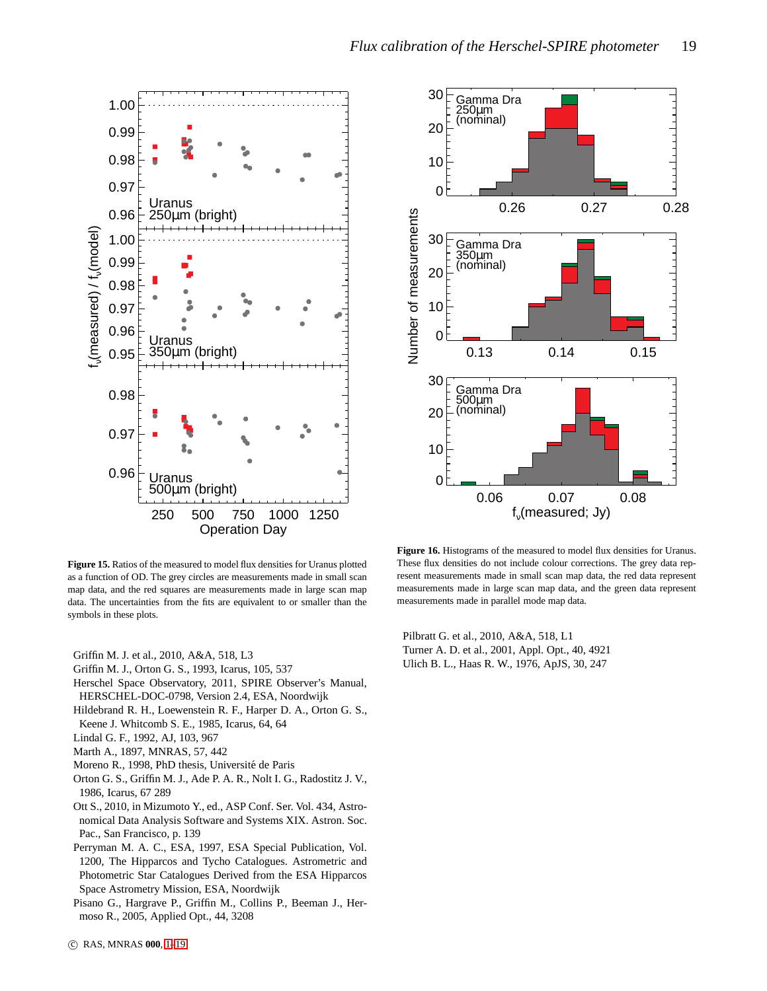

<span id="page-18-14"></span>**Figure 15.** Ratios of the measured to model flux densities for Uranus plotted as a function of OD. The grey circles are measurements made in small scan map data, and the red squares are measurements made in large scan map data. The uncertainties from the fits are equivalent to or smaller than the symbols in these plots.

<span id="page-18-0"></span>Griffin M. J. et al., 2010, A&A, 518, L3

- <span id="page-18-10"></span>Griffin M. J., Orton G. S., 1993, Icarus, 105, 537
- <span id="page-18-3"></span>Herschel Space Observatory, 2011, SPIRE Observer's Manual, HERSCHEL-DOC-0798, Version 2.4, ESA, Noordwijk
- <span id="page-18-8"></span>Hildebrand R. H., Loewenstein R. F., Harper D. A., Orton G. S., Keene J. Whitcomb S. E., 1985, Icarus, 64, 64
- <span id="page-18-7"></span>Lindal G. F., 1992, AJ, 103, 967
- <span id="page-18-11"></span>Marth A., 1897, MNRAS, 57, 442
- <span id="page-18-6"></span>Moreno R., 1998, PhD thesis, Université de Paris
- <span id="page-18-9"></span>Orton G. S., Griffin M. J., Ade P. A. R., Nolt I. G., Radostitz J. V., 1986, Icarus, 67 289
- <span id="page-18-4"></span>Ott S., 2010, in Mizumoto Y., ed., ASP Conf. Ser. Vol. 434, Astronomical Data Analysis Software and Systems XIX. Astron. Soc. Pac., San Francisco, p. 139
- <span id="page-18-13"></span>Perryman M. A. C., ESA, 1997, ESA Special Publication, Vol. 1200, The Hipparcos and Tycho Catalogues. Astrometric and Photometric Star Catalogues Derived from the ESA Hipparcos Space Astrometry Mission, ESA, Noordwijk
- <span id="page-18-5"></span>Pisano G., Hargrave P., Griffin M., Collins P., Beeman J., Hermoso R., 2005, Applied Opt., 44, 3208



<span id="page-18-15"></span>Figure 16. Histograms of the measured to model flux densities for Uranus. These flux densities do not include colour corrections. The grey data represent measurements made in small scan map data, the red data represent measurements made in large scan map data, and the green data represent measurements made in parallel mode map data.

<span id="page-18-12"></span><span id="page-18-2"></span><span id="page-18-1"></span>Pilbratt G. et al., 2010, A&A, 518, L1 Turner A. D. et al., 2001, Appl. Opt., 40, 4921 Ulich B. L., Haas R. W., 1976, ApJS, 30, 247